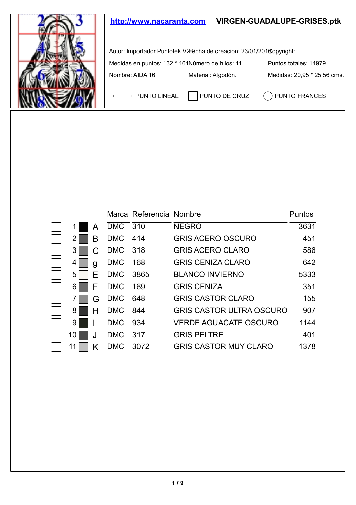

|    |    |                                    | Marca Referencia Nombre |                                 | Puntos |
|----|----|------------------------------------|-------------------------|---------------------------------|--------|
|    | А  | $DMC$ <sup><math>-310</math></sup> |                         | <b>NEGRO</b>                    | 3631   |
| 2  | в  | <b>DMC</b>                         | - 414                   | <b>GRIS ACERO OSCURO</b>        | 451    |
| 3  | C. | DMC 318                            |                         | <b>GRIS ACERO CLARO</b>         | 586    |
| 4  | q  | <b>DMC</b>                         | 168                     | <b>GRIS CENIZA CLARO</b>        | 642    |
| 5  | F  | DMC 3865                           |                         | <b>BLANCO INVIERNO</b>          | 5333   |
| 6  | F  | <b>DMC</b>                         | - 169                   | <b>GRIS CENIZA</b>              | 351    |
|    | G  | DMC 648                            |                         | <b>GRIS CASTOR CLARO</b>        | 155    |
| 8. | н  | DMC 844                            |                         | <b>GRIS CASTOR ULTRA OSCURO</b> | 907    |
| 9  |    | <b>DMC</b>                         | 934                     | VERDE AGUACATE OSCURO           | 1144   |
| 10 | ا. | <b>DMC</b>                         | - 317                   | <b>GRIS PELTRE</b>              | 401    |
| 11 | ĸ  | <b>DMC</b>                         | 3072                    | <b>GRIS CASTOR MUY CLARO</b>    | 1378   |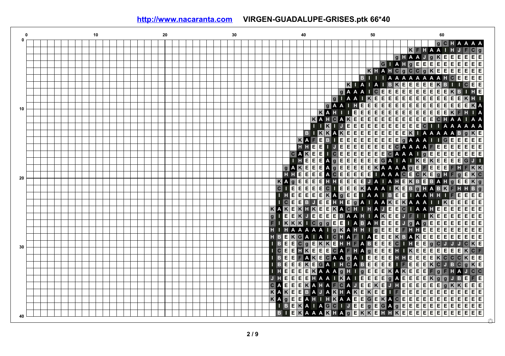**0 10 20 30 40 50 60 0 C H g A A A A g K F H A A I H J F C E E E A E E g H A J g K E E G I A H g E E E E E E E E E C E E E K H A H C g C g K E E E E E E B I I I A A A A A A A A H C E E E K A A B I I I B K E E E E E K I I C E A C E E E E E K E g A A I E E E E E B I H E**  $\overline{a}$ **A E E E E E E I A I K E E E E E E K H I E E E E g A A I H E E E E E E E E E E E E K A 10 E E E E K A H I I E E E E E E E E E E K F H I A K E E E E E E E E E C A K A H C A E E E H A A I A A K J E E E E E E E E E E E C A A A I I I I A A B E A A I K K A K E E E E E E E E K I A A A B g K E E B E E E E K A E E E E G E E E E F E E g A A A I E E E E E E E E E**  $\overline{c}$ **A A E E E E E H H E I J E E A A F C A K E E I C E E E E E E C A E E E E E A A I g E E E E E E A g E E E E E G A A E E I H E E I I K E K E E G J I E A g E E E E A K g A K E E E K A A A g E F E E E F H F K E E H H A C E E C E E E E E I A A A C E C K E g H F g E K 20 K A E E H H E g E E E E E J A I A H E K B E B A H g E E K g C E E E C I E E E g I E E K A A A I K E B g H A B K F H H B E g E E A A E E E I H E E E E K A I I B E I A A H H I F E E E E J E E C B E E A A A A K E E I H H g I A A K E K I I E E K A C A A H E E E E E A K E K H K E E K H I H J E E C I A E E E E E E E B A A E E g I E E K J H I A K E E J F I I K E E E E E F I K K K I C g g E E I A B A H E E E J g A g E E E E E E E A A A A A H E E E H I H A I g K H I g E E E F H H E E E E E E E H B E K G A I A I C H A F I A E E E K B A K E E E E E E E E K E B E E E K E A B E E E**  $\overline{c}$ **I E E C I C g H H F H g J J J C K 30 E**  $|c|$ **A F H A K E E E I C E E H K E E g E E E H I E E E E K C F E C E E E E E E E E E K C**  $\overline{c}$ **I B E E F A K A A g A I H H C K E E H E E E E E E E C I B E E E K E G A I C A B I F K J B C g K g g E E E K E E C H E E E E K A A A H I K A E F g F H A J C E E E E A K A E E E g E J H E H A I I E A E E E K g g J B E F F C E E E C A E E E K A H A A J E E K E J H E E E E g K K E E A K E E K E K I E E E E E E E E E E K A K E E B A J H A E E F E E E E K A g E E A H I H K A A E E G E K A C E E E E E E E E C E E I B E K A I A G I J E E g E G A g E E E E E E E E E E B E K g E K E E E E E I K A A A H A K E H H K E E E E E E E 40**  $\oslash$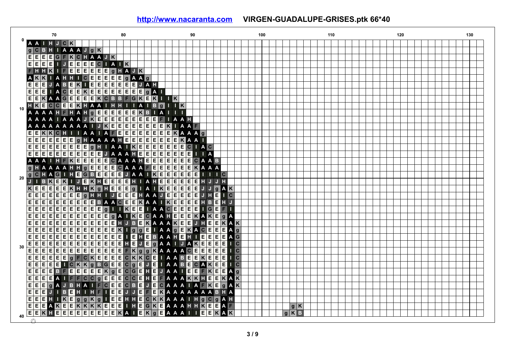| 70                                                                                                     | 80                                                                                                                                                            | 90                                                                                    | 100          | 110 | 120 | 130 |
|--------------------------------------------------------------------------------------------------------|---------------------------------------------------------------------------------------------------------------------------------------------------------------|---------------------------------------------------------------------------------------|--------------|-----|-----|-----|
| <b>AAIHJCK</b>                                                                                         |                                                                                                                                                               |                                                                                       |              |     |     |     |
|                                                                                                        |                                                                                                                                                               |                                                                                       |              |     |     |     |
| $EEEEGFKCHAAJK$                                                                                        |                                                                                                                                                               |                                                                                       |              |     |     |     |
| E<br>F<br>$\sqrt{E}$<br>EI                                                                             | $E$ $E$ $C$ $I$ $A$ $I$ $K$                                                                                                                                   |                                                                                       |              |     |     |     |
| $\overline{\mathsf{K}}$                                                                                | FEEEEEE GHAJK                                                                                                                                                 |                                                                                       |              |     |     |     |
| AHHI                                                                                                   | <u>II O EEEEE E g A</u><br>IX I EEEEE E E E<br>$gA$ $A$ $g$                                                                                                   |                                                                                       |              |     |     |     |
| E<br>J A B E<br>E<br>E.                                                                                | JAH                                                                                                                                                           |                                                                                       |              |     |     |     |
| $\overline{E}$<br>E<br>E<br><b>IACE</b>                                                                | $\overline{E}$ K $\overline{E}$ $\overline{E}$ $\overline{E}$ $\overline{E}$ $\overline{E}$ $\overline{E}$ $\overline{E}$ $\overline{E}$ $\overline{E}$<br>gA |                                                                                       |              |     |     |     |
| E E                                                                                                    | KAAGEEEEKCBBFGKEKIIK                                                                                                                                          |                                                                                       |              |     |     |     |
| $\mathbf{H}$ K E<br>CCEEKHAAIH                                                                         | $H$   $I$ $A$<br>Bq                                                                                                                                           | $1$ $K$                                                                               |              |     |     |     |
| 10                                                                                                     |                                                                                                                                                               | A<br>п                                                                                |              |     |     |     |
| A A A A H E H A H G E E E E E E E E E E A B<br>A A A A I A A A J K E E E E E E E E E E                 | E                                                                                                                                                             | <b>IAAH</b><br>F                                                                      |              |     |     |     |
|                                                                                                        | A A A A A A A A I J K E E E E E E E E E E E E A A F                                                                                                           |                                                                                       |              |     |     |     |
| $E$ $E$<br>$K$ $K$ $C$ $H$ $I$<br>- 11                                                                 | $\overline{E}$ $\overline{E}$ $\overline{E}$ $\overline{E}$ $\overline{E}$ $\overline{E}$<br>AAIAFEEE                                                         | KAAAG                                                                                 |              |     |     |     |
| $\boxed{\mathsf{E}}$ $\boxed{\mathsf{E}}$<br>Έ<br>E<br> E E E<br> g                                    | HAAAAHEEEEEEE                                                                                                                                                 | E<br><b>KAA</b>                                                                       |              |     |     |     |
| $\overline{\mathsf{E}}$<br> E E<br>$\overline{\mathsf{E}[\mathsf{E}]\mathsf{E}[\mathsf{E}]}$<br>E<br>Е | $\overline{\mathsf{E}}$<br><b>g</b> H I A A I K E                                                                                                             | $E$ $E$ $E$<br>E<br>E<br>$C$   $A$ $C$                                                |              |     |     |     |
| $\overline{E}$<br>E<br> E E E E <br>E<br>E                                                             | E<br>E<br>E E E <br><b>JAAAH</b>                                                                                                                              | E E E<br>E<br> E <br>E<br>$\overline{A}$                                              |              |     |     |     |
| <b>AIHFKE</b><br>A A                                                                                   | <b>EEEE GAAAHE</b>                                                                                                                                            | EEEEEE CAAB                                                                           |              |     |     |     |
| A A A A H H G E E<br>g                                                                                 | $\overline{E}$<br>E<br>CAAAF                                                                                                                                  | $\overline{\mathsf{E}}$<br>E E E E<br>EKAAA                                           |              |     |     |     |
| $g$ C H                                                                                                | AGIHEGBEEEEJAAIKEEEE                                                                                                                                          | E<br>EH<br>п<br>$\mathsf{C}$                                                          |              |     |     |     |
| 20<br>$\mathbf K$<br>B<br>EK<br>$\mathsf{L}$ J                                                         |                                                                                                                                                               | E<br>E<br>E<br>EH<br>н                                                                |              |     |     |     |
| E<br>$K$ E<br>E<br>E E K<br>H                                                                          | EKHEEEEH I AHEE<br>HKOHEEE0 I A I KE                                                                                                                          | <b>I A I K E E E E E</b> J J<br>$\mathbf{g}$<br>AK <sup></sup>                        |              |     |     |     |
| E<br>E<br>E<br>$\overline{E}$<br>F<br>E                                                                | $g$ H H                                                                                                                                                       | $\overline{E}$<br>E<br>EJH<br>$\overline{c}$                                          |              |     |     |     |
| $\frac{E}{E}$<br>$E$ e e e e<br>E E <br>E<br>Е                                                         | EBAACEEMAA IKEE                                                                                                                                               | <b>EE</b> HB<br>E                                                                     |              |     |     |     |
| E<br>E<br>E<br> E E                                                                                    | E<br>g<br>A<br>EE<br>$I$ $K$ $E$                                                                                                                              | н<br>E<br> C E<br>E<br>E<br>EI<br>F.                                                  |              |     |     |     |
| E<br>E<br>Е<br>E<br>E<br>E<br>Е                                                                        |                                                                                                                                                               | G<br>KAKE                                                                             |              |     |     |     |
| $\left(\mathbf{\bar{E}}\right)^{2}$<br>E E E E <br>$\overline{E}$<br>$\overline{E}$                    | E E E E <br>gA I K E<br>E<br>$\overline{E}$ $\overline{E}$<br>$\overline{\mathbf{K}}$                                                                         | $\overline{\mathsf{E}}$<br>CAAHE<br>E<br>g A<br><b>JHE</b>                            |              |     |     |     |
| $\overline{E}$<br>E<br>E<br>E<br> E E <br>E<br>E                                                       | E<br>E<br>H<br>$\mathbf{B}$<br>IJ<br>$\overline{\mathbf{K}}$ $\mathbf{I}$                                                                                     | <b>AAAKE</b><br>$\overline{E}$<br>E<br>K<br>Ιĸ                                        |              |     |     |     |
| E<br>E E E E<br>E                                                                                      | $g$ $g$ $E$<br>$\overline{E[E]E]E}$<br>E                                                                                                                      | $I$ $A$ $I$ $I$ $I$<br>KACE<br>E<br>Ε<br>$A \mid g$<br><b>BAAHE</b><br>$\overline{G}$ |              |     |     |     |
| $\boxed{\mathsf{E}}\,\mathsf{E}$<br>E<br>E<br>E<br>EE<br>E                                             | $\mathbf{H}$ E<br>E E E <br>E<br>$\mathsf{E}$<br>EΠ<br>$\overline{E}$                                                                                         | E<br>Е<br>Е<br>н<br>E                                                                 |              |     |     |     |
| <u>eeeeeeeee</u><br>E<br>E E <br>30                                                                    | E E H<br>$\mathsf{E}$<br>E<br>$\mathsf{J}$                                                                                                                    | E<br>$\overline{E}$<br>E<br>g A A<br><b>AK</b><br>E<br>$\mathsf{J}$                   | $\mathbf{C}$ |     |     |     |
| $\overline{\mathsf{E}[\mathsf{E}]\mathsf{E}}$<br>E[E]E[E]E<br>EE<br>F                                  | $\frac{1}{\epsilon}$<br>E E <br>$E$ $K$ $g$ $g$                                                                                                               | KAAAA <b>EEEE</b><br>E<br>$\overline{\mathsf{C}}$                                     |              |     |     |     |
| E<br>E<br>E<br>E<br>$\overline{g}$<br>E                                                                | E<br>E<br> C K E<br> C K K<br> c <br>E                                                                                                                        | E<br>$F$ K $F$<br><b>IAABE</b><br>Ε                                                   | $\mathbf{C}$ |     |     |     |
| E<br>E E <br>E<br>$E$ $C$ $K$<br>K g                                                                   | BGE<br>E C g E                                                                                                                                                | JEIAABE<br>CAKE<br>Е                                                                  | $\mathbf{C}$ |     |     |     |
| $\frac{E}{E}$<br>E<br>E<br>E B F E<br>E                                                                | E E E K g E C G E H<br>C C g E E E C C E H                                                                                                                    | HEJAAIEEFKE<br>Е                                                                      | $\mathbf{g}$ |     |     |     |
| F<br>E<br>8 A I F<br>E                                                                                 |                                                                                                                                                               | <b>EFAAAKKHEEKA</b>                                                                   | K            |     |     |     |
| E<br>E<br>E<br>g<br>н<br>B<br>A                                                                        | $\overline{E}$<br>FCE<br>FLE<br>F C B                                                                                                                         | <b>JECAAA</b><br><b>IAFKE</b><br>$\overline{g}$<br>K                                  |              |     |     |     |
| E<br>E<br>$B$ $E$<br>H                                                                                 | $I$ H $E$                                                                                                                                                     | EJJE EKAAAAAABHA                                                                      |              |     |     |     |
| $\mathbf{g}$<br>Е<br>Е<br>$K$ E<br>E.<br>Н                                                             | $\blacksquare$ E $\blacksquare$<br>$g$ K $g$                                                                                                                  | EHHECKKAAAIHGCGAH                                                                     |              |     |     |     |
| $\overline{E}$<br>E<br>E                                                                               |                                                                                                                                                               | AKEEKKKKEEELHEGKEAAAHHKEEAE<br>HEEEEEEEEEKAIEKSEAAAIIEEKAK                            | gK           |     |     |     |
| EE<br>KHEEE<br>40                                                                                      |                                                                                                                                                               |                                                                                       | $g$ K B      |     |     |     |
| ⋒                                                                                                      |                                                                                                                                                               |                                                                                       |              |     |     |     |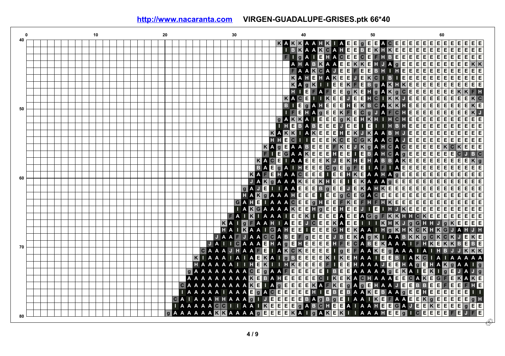|    |  |  |  | 10 |  |  |  |  | 20 |  |             |   |             |    | 30                      |                |                                                                                                                                              |                         |   |                         |                |                         |                         | 40                                                                                     |                           |                         |                                     |                           |                           |                  |                                                                   |                | 50                   |                         |                       |                                    |                               |    |                                                                                                                                                            |                                                                  |                         |                                     | 60             |                                 |                |                         |                                     |                                                                                               |  |
|----|--|--|--|----|--|--|--|--|----|--|-------------|---|-------------|----|-------------------------|----------------|----------------------------------------------------------------------------------------------------------------------------------------------|-------------------------|---|-------------------------|----------------|-------------------------|-------------------------|----------------------------------------------------------------------------------------|---------------------------|-------------------------|-------------------------------------|---------------------------|---------------------------|------------------|-------------------------------------------------------------------|----------------|----------------------|-------------------------|-----------------------|------------------------------------|-------------------------------|----|------------------------------------------------------------------------------------------------------------------------------------------------------------|------------------------------------------------------------------|-------------------------|-------------------------------------|----------------|---------------------------------|----------------|-------------------------|-------------------------------------|-----------------------------------------------------------------------------------------------|--|
| 40 |  |  |  |    |  |  |  |  |    |  |             |   |             |    |                         |                |                                                                                                                                              |                         |   |                         |                |                         |                         | KKA                                                                                    |                           |                         |                                     |                           | A                         |                  | E E g E                                                           |                |                      | E                       | <b>ACE</b>            |                                    |                               |    | Е                                                                                                                                                          |                                                                  |                         |                                     |                | EEEE<br>EEEE<br>EEEE            | E              | Е                       | Е                                   | EE                                                                                            |  |
|    |  |  |  |    |  |  |  |  |    |  |             |   |             |    |                         |                |                                                                                                                                              |                         |   |                         |                |                         | $\overline{B}$          | <b>K</b> A                                                                             |                           | K                       | $\mathbf{C}$                        | A                         | H                         | E                | $E$ $B$                                                           |                | E                    | $\overline{\mathbf{k}}$ | H                     | $\overline{\mathbf{K}}$            | Ε                             | E  | $\overline{E}$                                                                                                                                             | $\frac{E}{E}$                                                    |                         |                                     |                |                                 | E              | $\overline{E}$          | Ε                                   | $\overline{\mathsf{E}}\,\overline{\mathsf{E}}$                                                |  |
|    |  |  |  |    |  |  |  |  |    |  |             |   |             |    |                         |                |                                                                                                                                              |                         |   |                         |                |                         |                         | $\overline{g}$ A                                                                       |                           | E                       |                                     | HACE                      |                           |                  | E                                                                 |                | E                    | F                       | н                     | $\, {\bf B}$                       | $\overline{E}$ $\overline{E}$ |    | E                                                                                                                                                          |                                                                  |                         |                                     |                |                                 | E              | E                       | $\overline{E}$                      | $\bar{E}$<br>E                                                                                |  |
|    |  |  |  |    |  |  |  |  |    |  |             |   |             |    |                         |                |                                                                                                                                              |                         |   |                         |                |                         | A                       |                                                                                        |                           | <b>BK</b>               |                                     | A A                       | $\overline{E}$            | E                | $K$ $K$ $E$                                                       |                |                      | H                       | $J$ A $g$             |                                    |                               | E  | E                                                                                                                                                          |                                                                  | $\overline{E}$          | $\overline{E}$                      | E              | $\overline{}$ E                 | $\mathbf{E}$   | $\overline{E}$          | $\overline{E}$                      | $K$ $K$                                                                                       |  |
|    |  |  |  |    |  |  |  |  |    |  |             |   |             |    |                         |                |                                                                                                                                              |                         |   |                         |                |                         | F                       |                                                                                        |                           | $ \kappa $              | $\mathbf c$                         | A<br>$\overline{J}$       | E                         | E                |                                                                   | E              | E                    | $\, {\bf B}$            | H                     |                                    | H                             | E. | Ε                                                                                                                                                          |                                                                  |                         |                                     |                | E                               | E              | E                       | E                                   | $\boxed{\mathsf{E}}$ $\boxed{\mathsf{E}}$                                                     |  |
|    |  |  |  |    |  |  |  |  |    |  |             |   |             |    |                         |                |                                                                                                                                              |                         |   |                         |                |                         | $\overline{\mathbf{K}}$ |                                                                                        |                           | E                       | H<br>A                              | $\overline{\mathbf{k}}$   | E                         | E                | <b>THE</b><br>KE                                                  |                | K<br>B<br>H g<br>H g |                         |                       | $\overline{B}$                     |                               | E  | E                                                                                                                                                          | $\frac{1}{\pi}$ $\frac{1}{\pi}$                                  |                         |                                     |                | E E<br>E E                      |                |                         | $\frac{E}{E}$                       | $\begin{array}{ c c }\n\hline\n\text{E} & \text{E}\n\hline\n\text{E} & \text{E}\n\end{array}$ |  |
|    |  |  |  |    |  |  |  |  |    |  |             |   |             |    |                         |                |                                                                                                                                              |                         |   |                         |                |                         | $\overline{\mathbf{K}}$ | A                                                                                      | l g                       | $\overline{\mathbf{K}}$ | T T E                               |                           |                           | E K              |                                                                   |                | $\frac{K}{B}$        |                         | <b>AKHKE</b>          |                                    |                               |    |                                                                                                                                                            |                                                                  |                         |                                     |                |                                 |                | $\frac{E}{E}$           |                                     |                                                                                               |  |
|    |  |  |  |    |  |  |  |  |    |  |             |   |             |    |                         |                |                                                                                                                                              |                         |   |                         |                |                         | H                       |                                                                                        | Е                         |                         | $\overline{A}$<br>F                 | E                         | E                         | $\overline{g}$   |                                                                   |                |                      |                         | A                     |                                    | $K$ <sub>g</sub> $C$ E        |    |                                                                                                                                                            |                                                                  |                         |                                     |                | E                               | E              | $\overline{\mathsf{K}}$ |                                     |                                                                                               |  |
|    |  |  |  |    |  |  |  |  |    |  |             |   |             |    |                         |                |                                                                                                                                              |                         |   |                         |                | $\mathbf K$             |                         | A C E                                                                                  |                           | $\mathbf{L}$            |                                     | $\overline{\mathsf{k}}$ E | E                         | IJ               | EE                                                                |                | H C                  |                         | п                     |                                    | KKJE                          |    |                                                                                                                                                            |                                                                  |                         |                                     |                | E                               | E              | Ε                       | Ε                                   | K C                                                                                           |  |
|    |  |  |  |    |  |  |  |  |    |  |             |   |             |    |                         |                |                                                                                                                                              |                         |   |                         |                | $\overline{B}$          |                         | E                                                                                      | g                         | A H                     | $\overline{\mathsf{E}}$             |                           | $\overline{E}$            |                  | $\mathbb{H}$ E $\mathsf{K}$                                       |                | $\overline{B}$       | $\mathbf{C}$            | A                     | $\overline{\mathsf{K} \mathsf{K}}$ |                               | н  | E                                                                                                                                                          | $\frac{1}{\pi} \left  \frac{\pi}{\pi} \right  = \frac{\pi}{\pi}$ |                         | E E E<br>E E E                      |                | $\overline{E}$                  | $\overline{E}$ | $\overline{E}$          | E                                   | $K$ E                                                                                         |  |
| 50 |  |  |  |    |  |  |  |  |    |  |             |   |             |    |                         |                |                                                                                                                                              |                         |   |                         |                |                         |                         | $\overline{E}$                                                                         | H                         | $\mathbf{A}$            | E                                   | $\frac{E}{E}$             |                           |                  | $K$ $F$ $E$ $C$ $g$                                               |                |                      | $\mathbf J$             | <b>AFCHE</b>          |                                    |                               |    |                                                                                                                                                            |                                                                  |                         | $\overline{E}$                      | E              | E                               | $\overline{E}$ | Έ                       | Έ                                   | $\kappa$                                                                                      |  |
|    |  |  |  |    |  |  |  |  |    |  |             |   |             |    |                         |                |                                                                                                                                              |                         |   |                         | $\mathbf{g}$   | A                       | K                       | $\overline{\mathbf{K}}$                                                                | $\boldsymbol{\mathsf{A}}$ |                         | $\frac{g}{E}$<br>E                  | E                         |                           |                  | $g$ $K$ $E$ $H$ $K$                                               |                |                      | H                       | п                     |                                    | $H$ C $H$ E                   |    |                                                                                                                                                            |                                                                  |                         | $\overline{E}$                      | $\overline{E}$ | E                               | E              | Ε                       | E                                   | $\overline{E}$<br>Έ                                                                           |  |
|    |  |  |  |    |  |  |  |  |    |  |             |   |             |    |                         |                |                                                                                                                                              |                         |   |                         |                | LН                      | E                       | $B$ A $B$ $B$                                                                          |                           |                         | E                                   | E                         | $\mathsf{J}$              | E                | $E$ $E$                                                           |                |                      | $\Box$                  |                       | H                                  | BHE                           |    |                                                                                                                                                            |                                                                  | $\frac{1}{\sqrt{2}}$    | EE                                  |                | $\overline{E}$ $\overline{E}$   |                | E                       |                                     | $\overline{\mathsf{E}}\,\overline{\mathsf{E}}\,\overline{\mathsf{E}}\,\overline{\mathsf{E}}$  |  |
|    |  |  |  |    |  |  |  |  |    |  |             |   |             |    |                         |                |                                                                                                                                              |                         |   | $\overline{\mathbf{K}}$ | Æ              | $\overline{\mathbf{K}}$ | $ \mathbf{k} $          | $\overline{A}$                                                                         |                           | K                       | $\blacksquare$                      | E                         | H                         | E                |                                                                   |                |                      |                         |                       |                                    |                               |    |                                                                                                                                                            |                                                                  |                         | E E E                               |                |                                 |                | E                       |                                     | $\overline{E}$<br>E                                                                           |  |
|    |  |  |  |    |  |  |  |  |    |  |             |   |             |    |                         |                |                                                                                                                                              |                         |   | H                       | н              | E                       |                         |                                                                                        |                           |                         | $\frac{\overline{E}}{\overline{E}}$ | $\overline{\mathbf{K}}$   |                           | $\overline{C}$ E |                                                                   |                |                      |                         |                       |                                    |                               |    |                                                                                                                                                            |                                                                  | $\frac{1}{\sqrt{2}}$    |                                     |                | $\frac{E}{E}$                   |                | $\overline{E}$          | $\frac{\overline{E}}{\overline{E}}$ | E<br>E                                                                                        |  |
|    |  |  |  |    |  |  |  |  |    |  |             |   |             |    |                         |                |                                                                                                                                              |                         | K | $\mathbf{A}$            | $\overline{g}$ | $\overline{E}$          |                         | <b>OLITEE</b>                                                                          |                           |                         | E                                   | $\bar{\bm{\mathsf{F}}}$   |                           |                  | $\begin{array}{c c}\nC & G & K \\ \hline\nJ & K & g\n\end{array}$ |                |                      |                         |                       |                                    |                               |    |                                                                                                                                                            |                                                                  |                         | $\frac{\overline{E}}{\overline{E}}$ | $\overline{E}$ |                                 | $\overline{c}$ | K                       | E                                   | E<br>E                                                                                        |  |
|    |  |  |  |    |  |  |  |  |    |  |             |   |             |    |                         |                |                                                                                                                                              |                         |   | ПE                      |                | $\mathbf G$             |                         |                                                                                        |                           |                         | E                                   | H                         |                           | KE J             |                                                                   | $\blacksquare$ |                      |                         |                       |                                    |                               |    |                                                                                                                                                            |                                                                  |                         |                                     |                |                                 |                | $\mathbf c$             |                                     | B C                                                                                           |  |
|    |  |  |  |    |  |  |  |  |    |  |             |   |             |    |                         |                |                                                                                                                                              |                         |   | $K$ $A$ $C$             |                |                         | $\overline{I}$ A A      |                                                                                        | E                         | E                       | E                                   | $\mathbf{J}$              |                           |                  |                                                                   |                |                      |                         |                       |                                    |                               |    | E A A A A C A G E E E<br>MA A A C A G E E E<br>B A H C A G E E E<br>B A H C A G E E E<br>H A B B A K E E E E<br>H A B B A K E E E E<br>A A A A B E E E E E |                                                                  |                         |                                     |                |                                 |                | E                       | E                                   | K g                                                                                           |  |
|    |  |  |  |    |  |  |  |  |    |  |             |   |             |    |                         |                |                                                                                                                                              | $\overline{B}$          |   | <b>AF</b>               | E              | A                       |                         | $\mathbb{H}$                                                                           | E E E                     |                         | $\overline{\mathbf{K}}$             |                           |                           |                  | E K H<br>E g F<br>E H K                                           |                |                      |                         |                       |                                    |                               |    |                                                                                                                                                            |                                                                  |                         |                                     |                |                                 |                | E                       | E                                   | $\overline{E}$<br>E                                                                           |  |
|    |  |  |  |    |  |  |  |  |    |  |             |   |             |    |                         |                | $\vert K \vert$                                                                                                                              | AF                      |   | $\overline{E}$          | $\overline{g}$ | HAAC                    |                         |                                                                                        | E                         | $\overline{\mathsf{E}}$ | E                                   | $\frac{c}{L}$             |                           |                  |                                                                   |                |                      |                         |                       |                                    |                               |    |                                                                                                                                                            |                                                                  |                         |                                     |                |                                 |                | E                       | $\overline{E}$                      | $\overline{E}$<br>E                                                                           |  |
| 60 |  |  |  |    |  |  |  |  |    |  |             |   |             |    |                         |                | O                                                                                                                                            |                         |   | $K$ g $A$ $A$ $A$       |                |                         |                         |                                                                                        |                           |                         |                                     |                           |                           | $\blacksquare$   | EKAAA <sup>g</sup>                                                |                |                      |                         |                       |                                    |                               |    |                                                                                                                                                            |                                                                  |                         |                                     |                |                                 |                |                         |                                     | E E E                                                                                         |  |
|    |  |  |  |    |  |  |  |  |    |  |             |   |             |    |                         |                |                                                                                                                                              | A                       |   | E I I                   |                |                         |                         | <b>A A E E E</b>                                                                       |                           |                         |                                     |                           |                           |                  | EKAHKÉ                                                            |                |                      |                         |                       |                                    |                               |    |                                                                                                                                                            |                                                                  |                         |                                     |                |                                 |                | E                       |                                     |                                                                                               |  |
|    |  |  |  |    |  |  |  |  |    |  |             |   |             |    |                         | $\mathbf{g}$   | A                                                                                                                                            |                         |   |                         |                |                         |                         | <b>THE ENTRE</b><br><b>THE ENTRE ENTRE</b><br><b>THE ENTRE ENTRE EN</b><br>ENTRE ENTRE |                           |                         |                                     |                           |                           | IJ               |                                                                   |                |                      |                         |                       |                                    |                               |    |                                                                                                                                                            |                                                                  |                         |                                     |                |                                 |                | E                       | E                                   | $E$ $E$                                                                                       |  |
|    |  |  |  |    |  |  |  |  |    |  |             |   |             |    |                         | H              | A<br>AH                                                                                                                                      | $\overline{\mathbf{K}}$ |   | $\blacksquare$ A A A H  |                |                         |                         |                                                                                        |                           |                         |                                     |                           |                           |                  | <b>G C E G A C E E</b><br>F K E F H F H K                         |                |                      |                         |                       |                                    |                               |    |                                                                                                                                                            |                                                                  |                         |                                     |                |                                 |                | $\overline{E}$          | $\overline{\mathsf{E} \mathsf{E}}$  | İΕ<br>E                                                                                       |  |
|    |  |  |  |    |  |  |  |  |    |  |             |   |             |    | $\overline{\mathsf{G}}$ |                |                                                                                                                                              |                         |   | $\overline{H}$ I A A A  |                |                         |                         | $C$ E $E$                                                                              |                           |                         |                                     |                           |                           |                  |                                                                   |                |                      |                         | $\Pi$ K $\in$ E $\in$ |                                    |                               |    |                                                                                                                                                            |                                                                  |                         |                                     |                |                                 |                | $\overline{E}$          | $\overline{E}$                      | Έ                                                                                             |  |
|    |  |  |  |    |  |  |  |  |    |  |             |   |             |    |                         | $\overline{A}$ |                                                                                                                                              |                         |   | KGAAAAKEEHG             |                |                         |                         |                                                                                        |                           |                         | E                                   | E                         | H                         |                  | <b>BBJT</b>                                                       |                |                      | 4Ē)                     | п                     | H                                  | JKE                           |    |                                                                                                                                                            | E                                                                | E                       | $\overline{E}$                      | E              | $\boxed{\mathsf{E} \mathsf{E}}$ |                | $\overline{E}$          | $\overline{E}$                      | $F$ $F$                                                                                       |  |
|    |  |  |  |    |  |  |  |  |    |  |             |   |             | F. |                         | $A$            | $\kappa$                                                                                                                                     |                         |   | $I$ A A $I$             |                |                         | $rac{E}{E}$             | E K                                                                                    |                           | $\overline{E}$          |                                     | EE                        | $\overline{A}$            |                  | EEAG                                                              |                |                      |                         |                       |                                    |                               |    | $g$ F K K H H C K E E E E                                                                                                                                  |                                                                  |                         |                                     |                |                                 |                | E                       |                                     | $E$ $E$ $E$                                                                                   |  |
|    |  |  |  |    |  |  |  |  |    |  |             |   |             | KA |                         | $\overline{q}$ | F                                                                                                                                            |                         |   | A A H                   | $\overline{A}$ |                         |                         | $\frac{E}{E}$                                                                          | J C E                     |                         | $\frac{E}{E}$                       | $\overline{\mathbf{K}}$   | $\boldsymbol{\mathsf{A}}$ |                  | EE OO                                                             |                |                      |                         | IKHKJ <sub>9</sub>    |                                    |                               |    |                                                                                                                                                            | $\overline{G}$                                                   |                         | HHJ                                 |                | l a l                           | lĸ.            | Έ                       | $\overline{E}$                      | $\overline{\mathsf{E}}\,\overline{\mathsf{E}}$                                                |  |
|    |  |  |  |    |  |  |  |  |    |  |             |   |             |    |                         |                | HAIKAAIG                                                                                                                                     |                         |   |                         | A H            |                         |                         |                                                                                        |                           | 同                       | $\overline{E}$                      |                           |                           |                  | GHEKAAIH GKHKCKHKG                                                |                |                      |                         |                       |                                    |                               |    |                                                                                                                                                            |                                                                  |                         |                                     |                |                                 | <b>J</b> A     |                         |                                     | HJH                                                                                           |  |
|    |  |  |  |    |  |  |  |  |    |  |             |   | <b>JAAF</b> |    |                         |                |                                                                                                                                              |                         |   | <b>AACCAB</b>           |                |                         | E                       | F g                                                                                    |                           | E E                     | E                                   |                           | $J$ B                     |                  | $E$ KAgK                                                          |                |                      |                         |                       |                                    |                               |    | <b>A A B K K</b>                                                                                                                                           |                                                                  | $\sqrt{g}$              |                                     |                | $ C $ $K C K $                  |                | $\bullet$               | Έ                                   | $K$ E                                                                                         |  |
| 70 |  |  |  |    |  |  |  |  |    |  |             |   | $A \cup C$  |    |                         |                | <b>AAAEHAM</b>                                                                                                                               |                         |   |                         |                |                         |                         | हा सहा हो हो                                                                           |                           |                         | E                                   |                           | HFE                       |                  | $C$ A B                                                           |                |                      |                         |                       |                                    |                               |    | <b>EKAAAIF</b>                                                                                                                                             |                                                                  |                         | $HK$ E                              |                | KKB                             |                |                         |                                     | EBE                                                                                           |  |
|    |  |  |  |    |  |  |  |  |    |  | $\mathbf c$ | A |             |    |                         |                | A A J H A A F E L A K G K E E E E L<br>A A J A A L A E K A I G B E E E E K I<br>A A A I I H E K I I H K E E E E E K I                        |                         |   |                         |                |                         |                         |                                                                                        |                           |                         |                                     |                           |                           |                  | I <mark>g e</mark> F A A <mark>K</mark><br>I K E H A A I I        |                |                      |                         |                       |                                    |                               |    | FAAKEGAAAIA                                                                                                                                                |                                                                  |                         | $H$ H B                             |                |                                 |                |                         | K                                   | $\overline{\mathsf{k}\mathsf{k}}$                                                             |  |
|    |  |  |  |    |  |  |  |  |    |  | $ \kappa $  |   |             |    |                         |                | AAAIAIAEKAIG                                                                                                                                 |                         |   |                         |                |                         |                         |                                                                                        |                           |                         |                                     |                           |                           |                  |                                                                   |                |                      |                         |                       |                                    |                               |    | EEBIAKGIA                                                                                                                                                  |                                                                  |                         |                                     |                | п                               |                |                         |                                     | A A A A                                                                                       |  |
|    |  |  |  |    |  |  |  |  |    |  | H A A       |   |             |    |                         |                |                                                                                                                                              |                         |   |                         |                |                         |                         |                                                                                        |                           |                         |                                     |                           |                           |                  | <b>EE</b> HAAAJE                                                  |                |                      |                         |                       |                                    |                               |    | H A g                                                                                                                                                      |                                                                  | E                       | HAK                                 |                |                                 |                |                         | $\overline{A}$                      |                                                                                               |  |
|    |  |  |  |    |  |  |  |  |    |  |             |   |             |    |                         |                | <b>GAAAAAAAAEE</b>                                                                                                                           |                         |   | <b>g</b> A A F          |                |                         |                         | हा हा हा हा                                                                            |                           |                         |                                     | $\mathbf{I}$ <b>B</b>     |                           |                  |                                                                   |                |                      |                         |                       |                                    | E                             |    | KAI                                                                                                                                                        |                                                                  | E                       | $\mathbf{K}$ i                      |                | q                               | E              |                         |                                     |                                                                                               |  |
|    |  |  |  |    |  |  |  |  |    |  |             |   |             |    |                         |                |                                                                                                                                              |                         |   |                         |                |                         |                         |                                                                                        |                           |                         |                                     |                           |                           |                  |                                                                   |                |                      |                         |                       |                                    |                               |    | $G$ $A$                                                                                                                                                    |                                                                  | $\overline{\mathbf{K}}$ | E                                   |                | G F                             | E              | $\overline{\mathsf{K}}$ | A                                   | K<br>l E                                                                                      |  |
|    |  |  |  |    |  |  |  |  |    |  |             |   |             |    |                         |                |                                                                                                                                              |                         |   |                         |                |                         |                         |                                                                                        |                           |                         |                                     |                           |                           |                  |                                                                   |                |                      |                         |                       |                                    |                               |    | AAJEEB<br>BAAGEE<br>EFAAEE                                                                                                                                 |                                                                  |                         | B E E<br>H E E<br>K g E             |                | $F$ $E$                         |                | Ε                       | F                                   | HЕ                                                                                            |  |
|    |  |  |  |    |  |  |  |  |    |  |             |   |             |    |                         |                |                                                                                                                                              |                         |   |                         |                |                         |                         |                                                                                        |                           |                         |                                     |                           |                           |                  |                                                                   |                |                      |                         |                       |                                    |                               |    |                                                                                                                                                            |                                                                  |                         |                                     |                | E                               | $\overline{E}$ | E                       | E                                   |                                                                                               |  |
|    |  |  |  |    |  |  |  |  |    |  |             |   |             |    |                         |                |                                                                                                                                              |                         |   |                         |                |                         |                         |                                                                                        |                           |                         |                                     |                           |                           |                  |                                                                   |                |                      |                         |                       |                                    |                               |    |                                                                                                                                                            |                                                                  |                         |                                     |                | E E E                           |                |                         | E                                   | $q$ $\Box$                                                                                    |  |
|    |  |  |  |    |  |  |  |  |    |  |             |   |             |    |                         |                | LAAAAA HAAA EGA GEEEEE BAGBGELAA LAE BAADEE<br>CALAAA HIAAA GIJSEEEE BAGBGELAA LAE FAAEEE<br>1. AAAA A COILIAA DIJSEEEE BAGBGELAA LAE FAAEEE |                         |   |                         |                |                         |                         |                                                                                        |                           |                         |                                     |                           |                           |                  |                                                                   |                |                      |                         |                       |                                    |                               |    |                                                                                                                                                            |                                                                  | $\overline{E}$          | K E E                               |                |                                 | E              | E                       | g E                                 | E                                                                                             |  |
|    |  |  |  |    |  |  |  |  |    |  |             |   |             |    |                         |                | GAAAAAAKKAAAAGEEEEKAIGAKEKIIAAAHEEGICEEEE                                                                                                    |                         |   |                         |                |                         |                         |                                                                                        |                           |                         |                                     |                           |                           |                  |                                                                   |                |                      |                         |                       |                                    |                               |    |                                                                                                                                                            |                                                                  |                         |                                     |                |                                 | FE             |                         |                                     | JFE                                                                                           |  |
| 80 |  |  |  |    |  |  |  |  |    |  |             |   |             |    |                         |                |                                                                                                                                              |                         |   |                         |                |                         |                         |                                                                                        |                           |                         |                                     |                           |                           |                  |                                                                   |                |                      |                         |                       |                                    |                               |    |                                                                                                                                                            |                                                                  |                         |                                     |                |                                 |                |                         |                                     |                                                                                               |  |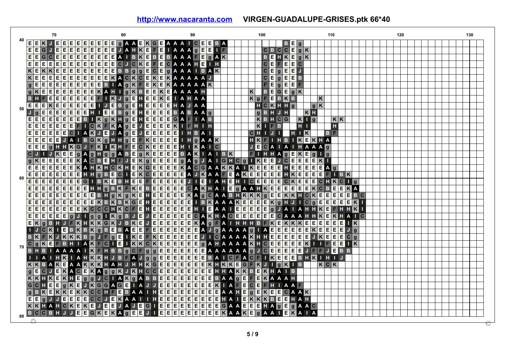|    | 70                                                                                                        | 80                                                                                                        | 90                                                                        | 100                                                                                                                                                                                                               | 110                                                                 | 120 | 130 |
|----|-----------------------------------------------------------------------------------------------------------|-----------------------------------------------------------------------------------------------------------|---------------------------------------------------------------------------|-------------------------------------------------------------------------------------------------------------------------------------------------------------------------------------------------------------------|---------------------------------------------------------------------|-----|-----|
|    | E E K <br>JE<br>Е<br>EEI<br>E<br>E                                                                        | E<br>IE.<br><b>GAAE</b><br>Е.<br> K G E                                                                   | A A A I C E E<br>B                                                        | BE<br>$\overline{g}$                                                                                                                                                                                              |                                                                     |     |     |
|    | E<br>E<br>E.<br>E<br>E<br>$\mathbf G$<br>E<br>E.                                                          | $K$ $E$<br>Е<br>H<br>E<br>E<br>E<br>A                                                                     | IAAAG<br>BAAAF<br>Е<br>E                                                  | $C$ $B$ $C$ $C$ $E$                                                                                                                                                                                               | gK                                                                  |     |     |
|    | G C E<br>$\overline{}$ $\overline{}$<br> E E <br> E E <br>E<br>E.                                         | $\overline{E E}$<br>$K$ $E$ $B$ $E$<br>EIAI<br>B                                                          | E g A<br>Κ                                                                | $B$ $E$ $H$ $K$ $E$                                                                                                                                                                                               | g K                                                                 |     |     |
|    | E<br>$\overline{}$ E<br>E<br>E<br>E<br>E<br>E<br> E E <br>E                                               | E E <br>$ C $ J<br> C K E<br>$\mathsf E$<br>$\mathbf{C}$<br>E<br>F                                        | A A A H<br>E.<br>T.H                                                      | $ \mathbf{c} $<br>$\mathsf E$<br>F E E                                                                                                                                                                            | C                                                                   |     |     |
|    | $K$ E<br>$\kappa$<br>E<br>Е<br> E E E                                                                     | $\overline{g}$<br>$E$ e e e e $B$<br>g<br>E                                                               | $C$ $E$ $g$ $A$ $A$ $I$<br><b>AK</b><br>B                                 | C E<br>g E E<br>J                                                                                                                                                                                                 |                                                                     |     |     |
|    | E<br>$K$ E<br>E<br>E<br>E<br>E<br>E<br>E<br>E.                                                            | E<br>$\overline{\mathbf{K}}$<br>E<br>$K$ $A$ $C$<br> C E<br>$K$ E<br>$\vert K \vert$                      | AAAAA                                                                     | $ c _E$<br>g E E<br>$\mathbf{B}$                                                                                                                                                                                  |                                                                     |     |     |
|    | E<br>E<br>$\mathsf{E}$<br>$g$ E<br>E<br>E<br>E<br>E.<br> E                                                | $B \cup A$<br>$\overline{\mathbf{K}}$<br>F E<br>$K$ E<br>$\vert K \vert$                                  | <b>AAAAAK</b>                                                             | E<br>F<br>g E E<br>F                                                                                                                                                                                              |                                                                     |     |     |
|    | E<br>E<br>E<br>E<br> g K<br>E<br>E<br> E E                                                                | KAH<br>g K <br>BE<br>$EK$ $E$                                                                             | A A H<br>A A                                                              | B<br>$E$ G $E$<br>$\,$ K<br>$g$ K                                                                                                                                                                                 |                                                                     |     |     |
|    | E<br>E<br> E E E <br>$\overline{E}$<br>$\vert$ B<br>F<br>Е<br>н                                           | $\blacksquare$<br>$\overline{\mathbf{K}}$<br>$\overline{\mathbf{g}}$<br>E<br>H E<br>E K E                 | <b>IAHAA</b>                                                              | F<br>$\blacksquare$<br>$K$ $g$<br><b>BKB</b>                                                                                                                                                                      | Κ                                                                   |     |     |
|    | $\overline{E}$<br>$\overline{E}$<br>E<br>E<br>E<br>$K$ $E$<br>E<br>E<br>E                                 | E<br>$\overline{g}$<br>E<br>$H$ $E$<br> E E <br>E<br>$\overline{J}$<br>$\mathbf{B}$                       | н<br>Α                                                                    | HCKHHg                                                                                                                                                                                                            | g[K]                                                                |     |     |
| 50 | E<br>E<br>$\overline{\mathsf{E}[\mathsf{E}]\mathsf{E}}$<br>E<br>н<br>Jg<br>E                              | $E$ $E$<br>BgE<br>H E<br> E E <br>Е<br>п                                                                  | $\mathbf{B}$<br>BAAC<br>A                                                 | <b>BHJH</b>                                                                                                                                                                                                       | $K$ $H$                                                             |     |     |
|    | E<br>E<br> E <br>Е<br>E<br>E E E <br>$\vert$ B                                                            | $I$ K $g$ K $H$ $g$ E<br>R E<br> E E <br>Е                                                                | A<br>G<br>F<br>$I$ A B                                                    | $\frac{a}{\kappa}$<br>$B$ H $C$ $G$                                                                                                                                                                               | $K$ $\overline{\phantom{a}}$ $g$<br>$K$ $K$                         |     |     |
|    | E<br> E E <br>E<br>F<br> c <br>E<br> E E <br>$\bullet$                                                    | KFKA <sub>g</sub> E<br>$\mathsf J$<br>$\overline{\mathsf{E}[\mathsf{E} \mathsf{E}]}$<br>E                 | $\vert K \vert$<br>F<br>HIH                                               | Κ<br>$\mathbf{F}$<br>B                                                                                                                                                                                            | $H$ 1<br>H                                                          |     |     |
|    | $\overline{}$ $\overline{}$<br>E<br>E<br>E<br>Ε<br>$\vert \mathbf{K} \vert$<br>E<br> c <br>$\overline{A}$ | $\overline{g}$<br>E<br>$\mathsf{J}$<br>E<br>IE.<br>E<br> E E <br>$\mathsf J$<br>JA                        | E<br>H B A I<br>H.                                                        | $H$ $K$<br>$\mathsf{J}$<br>$\mathbf{C}$<br>н<br>п.<br>п                                                                                                                                                           | <b>B</b> F                                                          |     |     |
|    | $\boxed{\mathsf{E}}$ $\boxed{\mathsf{E}}$<br>E<br>E<br><b>E</b> UA<br>$\mathbf{B}$                        | E<br>GKg<br>FKE<br>$\mathsf E$<br>H H g                                                                   | E<br>$H$ g $A$ $A$ $K$<br>ш                                               | HK<br>F<br>T.                                                                                                                                                                                                     | H B I K E K H A                                                     |     |     |
|    | $\overline{}$ $\overline{}$<br>F<br>Е<br>E<br>$\mathbf{g}$<br>$\mathbf{G}$<br>HHK<br>J                    | C K E E <br>E<br>$K$ $ I K $<br>$H$ $F$                                                                   | E<br>$\overline{c}$<br>$H$ $K$<br>A                                       | $\overline{\mathsf{c}}$<br>Е<br>$\mathbf{J}$<br>$\blacksquare$<br>A<br>A <sub>1</sub>                                                                                                                             | HAAAG                                                               |     |     |
|    | c <br>$\,$ K<br>E                                                                                         | $rac{E}{E}$<br>E g A g H g g A<br>E<br>$g$ $K$ $E$ $E$<br>B                                               | <b>BAKIAI</b><br>BK                                                       | FI<br>HAgE<br>H                                                                                                                                                                                                   | $ \mathsf{K} $ E<br>g<br> g                                         |     |     |
|    | $\pmb{\mathsf{K}}$<br>E<br>E<br>Ε<br>E<br>A<br>E                                                          | $\overline{E}$<br>$\overline{C}$ B<br><b>E H F</b><br>$K$ g $E$ $E$<br>$\overline{J}$                     | $\frac{E}{E}$                                                             |                                                                                                                                                                                                                   | E<br>E K                                                            |     |     |
|    | $E$ $E$ $E$ $E$ $K$<br>$\vert$ E $\vert$<br>Е<br>E<br>A                                                   | $H$ $K$ $H$ $C$ $K$<br>E<br>$K$ $G$ $E$ $E$ $E$<br>$\vert$ H $\vert$                                      | E                                                                         |                                                                                                                                                                                                                   | $E$ $E$ $E$ $A$ $g$                                                 |     |     |
|    | $\frac{1}{\frac{1}{\pi}}$<br>$\overline{E}$<br>$\overline{E}$<br>E<br> E E <br>$H$ $H$                    | E<br>E<br>g<br>$\mathbf{c}$<br>$K$ $C$ $E$ $E$<br>E<br>$\mathbf{B}$<br>П                                  | <b>GAGJAIGHCGIK</b><br>KACGAAKKAIKE<br>EAJKAAFEAKEE<br>E                  | EEJČEE<br>EEEHEE<br>EEEHKE                                                                                                                                                                                        | $\overline{E}$<br>E E<br>FIBK                                       |     |     |
| 60 | $\frac{1}{\sqrt{2}}$<br>E<br>E<br>E<br> E <br>E                                                           | <b>HE</b><br>E<br>B K E <br>E.<br>$F$ $E$ $E$<br>$\mathbf{B}$                                             | EEJIEI<br>EECAKH<br>EEKAGO<br>$\mathbf{H}%$<br>$\mathsf{I}$ A             | E<br>$E$ $H$ $I$ $C$ $E$<br>E E                                                                                                                                                                                   | E<br>$\mathbf{C}$<br>$ {\bf C} $ H<br>l I g                         |     |     |
|    | $rac{G}{E}$<br>E<br>E<br>E<br>$\vert$ E $\vert$<br>Ε<br>E<br>E<br>E.<br>н                                 | $FK$ $E$<br>$\mathbf{H}$ g<br>B K                                                                         |                                                                           | $\begin{array}{ c c c }\n\hline\nC & K & E \\ \hline\nE & E & E\n\end{array}$                                                                                                                                     | $\frac{E}{E}$<br>KA                                                 |     |     |
|    | $\boxed{\mathsf{E}}$ $\boxed{\mathsf{E}}$<br>E<br>$\overline{E E}$<br>$F$ $F$ $F$<br>E                    | $E B H g K g K E H E E$                                                                                   |                                                                           |                                                                                                                                                                                                                   | $E$ $B$ $C$                                                         |     |     |
|    | $\overline{}$ $\overline{}$<br>$\overline{E}$<br>Ε<br>Ε<br>E<br>E<br>E<br>E<br> E                         | $\overline{G}$<br>$K$ <b>B</b> $K$ <b>B</b> $K$                                                           |                                                                           | A A A K E E E E K K H C K E E E E E E<br>A A A K E E E E K K H C K E E E E E E<br>A A A K E E E E E K O H J I C O E E E E E F<br>A A I E E E E E G J A I A H H K E F H<br>K H A C E E E E E E G A A A H H K E K H | $K$ $\Box$<br>Ε                                                     |     |     |
|    | $\frac{E}{E}$<br>$\overline{\mathsf{E}}\vert \overline{\mathsf{E}}$<br>E E E<br>E E<br>$\,$ K             | C F<br> C C C H K                                                                                         |                                                                           |                                                                                                                                                                                                                   | HK                                                                  |     |     |
|    | E<br>E<br>E<br>$\vert$ E $\vert$<br>E<br>E<br> g <br>g                                                    | $\overline{B}$<br>g<br>$\overline{g}$ $\overline{\phantom{a}}$<br>$\overline{\mathbf{K}}$<br>$\mathbf{J}$ |                                                                           |                                                                                                                                                                                                                   | KHA<br>п                                                            |     |     |
|    | $J$ $F$ $K$<br>$E$ <sub>K</sub><br>$\mathbf{g}$<br><b>BH</b><br>н                                         | KKGKJBKE                                                                                                  |                                                                           | $K$ $E$ $K$ $K$ $K$ $E$                                                                                                                                                                                           | $E$ $E$ $E$<br>$\frac{1}{K}$<br>E E                                 |     |     |
|    | $B$ $K$ $B$ $K$<br> C K <br>T E                                                                           | BAE<br>$g$ B E                                                                                            |                                                                           | $\overline{E}$<br>$\vert$ E $\vert$<br>E                                                                                                                                                                          | $\overline{g}$<br> E E <br>Е<br>J                                   |     |     |
|    | Κ<br>g<br>B.<br>F<br>$\vert K \vert$<br>KK<br>$\vert$ B<br>J                                              | F g E<br>$I$ $K$ $E$                                                                                      |                                                                           | <b>AAAAKHHEEEE</b><br>E                                                                                                                                                                                           | E K E<br>E J K<br>$ \mathbf{K} \mathbf{E} \mathbf{E} $<br>E<br> C g |     |     |
|    | gK<br>BHIAK<br>$ {\bf c} $<br>E F                                                                         | ПE<br>F C<br>$I$ $K$ $K$ $C$ $K$ $E$                                                                      |                                                                           | E<br>E<br>E                                                                                                                                                                                                       | $\,$ K<br>E<br>E<br>$\mathbf{I}$ K                                  |     |     |
| 70 | $\overline{\mathbf{K}}$<br><b>BHB</b><br><b>AAAAI</b>                                                     | C F<br>$B$ $B$ $g$<br> g E E<br>F.<br>H<br><u>  g</u>                                                     | EEEEEAAAAA GJ                                                             | C E E E E E                                                                                                                                                                                                       | $J$ F F<br>E.<br>BB,                                                |     |     |
|    | $\overline{\mathbf{K}}$<br>$H$ $\overline{K}$<br>$\overline{A}$<br>$\overline{A}$                         | E<br>$K$ $H$<br><b>B</b> <sub>F</sub><br>A J<br>l g<br> g E<br>J                                          | $B$ A $I$                                                                 | $\overline{I}$ $\overline{K}$ $\overline{E}$<br><b>CFA</b><br>$C$ $F$<br> E E                                                                                                                                     | $B$ H $R$ I<br>- H<br>$\blacksquare$                                |     |     |
|    | $R$ $A$ $A$<br>$\overline{B}$<br>$K$ $K$<br>A                                                             | E<br><b>KHAHJ</b><br>HHKGE                                                                                | EEEEEB<br>EEEEEK<br>$\left \prod_{i=1}^{n}K\right K\left \right E\right $ | $G$ $F$ $K$<br>$J \mid I$<br> g K <br>$\mathbf{B}$                                                                                                                                                                | $K$ $c$ $K$                                                         |     |     |
|    | gE<br>E<br>$\mathbf{C}$<br>Е<br>$\mathsf{J}$<br>A C<br>$ \mathbf{k} $                                     | E<br>JK<br> c c <br>E<br>$K$ $A$ $g$ $g$<br>$\kappa$<br>Н                                                 |                                                                           | E<br>$ \mathbf{k} $<br>HAIB<br>$\mathbf{B}$                                                                                                                                                                       |                                                                     |     |     |
|    | E<br>$\overline{g}$<br>g<br>$K$ $K$<br>$\vert K \vert$<br>E<br>$K$ $H$<br>н                               | $G$ $I$ $A$ $K$ $g$ $A$ $B$ $B$ $E$ $E$<br>$\mathbf J$                                                    | EEEEEEHHAKK<br>EEEEEEBAA9E                                                | $F$ $E$<br>KAAAH                                                                                                                                                                                                  |                                                                     |     |     |
|    | E<br>$\boxed{G}$<br>C<br>H<br>Е<br>$ g $ K $ E $<br>$ \boldsymbol{\mathsf{k}} $<br>J                      | AGEIA<br>E<br>E<br> G G <br>$J$ $J$                                                                       | $\overline{\mathbf{k}}$<br>п                                              | <b>AFE</b><br> C E<br>F<br>$H$ 1<br>AAF                                                                                                                                                                           |                                                                     |     |     |
|    | g <br>$B$ $K$<br>$E K K E K K C C H F E$                                                                  | $H$ $E$ $E$<br>BAAI                                                                                       | E<br>AAHE                                                                 | gE<br>$K$ $E$ $E$<br>CAAK                                                                                                                                                                                         |                                                                     |     |     |
|    | E<br> E <br>Е<br>$\mathbf{g}$<br>E<br>Е<br>E.                                                             | c c<br>Е<br>$\mathsf{J}$                                                                                  | H<br>A                                                                    | $\blacksquare$<br>$K$ $K$ $K$<br>BE<br>E                                                                                                                                                                          | A H                                                                 |     |     |
|    | KKHAHCKE<br>KE                                                                                            | KAAIIHEEEEEEEEE<br>JAJEGIEEEEEEEE<br>JE<br>IE.                                                            |                                                                           | GAAEEE<br>AgEgAAC<br>H                                                                                                                                                                                            |                                                                     |     |     |
|    | Ε<br><b>BHJJ</b><br>$\overline{c}$<br>E<br>C<br>B                                                         | Ε<br>$\overline{E}$<br>$\overline{E}$<br>$K$ $A$ $g$<br> G K E<br>E<br>JI                                 | $\overline{E}$<br>E E<br>ि हो ह<br>E                                      | <b>KAAKE</b><br>$\overline{g}$<br>A A<br>K<br>I E.                                                                                                                                                                | AIA                                                                 |     |     |
| 80 |                                                                                                           |                                                                                                           |                                                                           |                                                                                                                                                                                                                   |                                                                     |     |     |
|    |                                                                                                           |                                                                                                           |                                                                           |                                                                                                                                                                                                                   |                                                                     |     |     |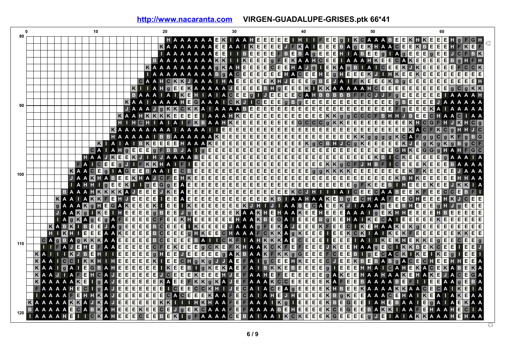| 0   |                       |                   |                |                |           | 10        |                                              |         |                |                                   |                                                 | 20    |                                            |   |                         |       |  | 30 |  |             |                                                                                                    | 40 |                                                                                                                                                 |     |                 | 50          |             |           |  |                                                | 60                      |                                                                                                                                                                            |              |                                                                                                                                                                                                                                |   |
|-----|-----------------------|-------------------|----------------|----------------|-----------|-----------|----------------------------------------------|---------|----------------|-----------------------------------|-------------------------------------------------|-------|--------------------------------------------|---|-------------------------|-------|--|----|--|-------------|----------------------------------------------------------------------------------------------------|----|-------------------------------------------------------------------------------------------------------------------------------------------------|-----|-----------------|-------------|-------------|-----------|--|------------------------------------------------|-------------------------|----------------------------------------------------------------------------------------------------------------------------------------------------------------------------|--------------|--------------------------------------------------------------------------------------------------------------------------------------------------------------------------------------------------------------------------------|---|
| 80  |                       |                   |                |                |           |           |                                              |         |                |                                   |                                                 |       |                                            |   |                         |       |  |    |  |             | HAAAAAAEKIAAHEEEEEIHI                                                                              |    |                                                                                                                                                 |     |                 |             |             |           |  |                                                |                         | IFEEGIKCAAABEEKHKEEEH                                                                                                                                                      |              |                                                                                                                                                                                                                                |   |
|     |                       |                   |                |                |           |           |                                              |         |                |                                   |                                                 |       | <b>KAAAAAAEE</b>                           |   |                         |       |  |    |  | A A I KEEEE |                                                                                                    |    |                                                                                                                                                 |     |                 |             |             |           |  |                                                |                         |                                                                                                                                                                            |              | J F KA I EEE BA 9 E KHA A C E E K B E E E H F K E F                                                                                                                                                                            |   |
|     |                       |                   |                |                |           |           |                                              |         |                |                                   |                                                 |       | I A A A A A A E E                          |   |                         |       |  |    |  |             |                                                                                                    |    | I I BEEEEEFBEBAGEEEH I ABEEGIAGEE                                                                                                               |     |                 |             |             |           |  | E                                              |                         |                                                                                                                                                                            |              | <b>GEEJCFBK</b>                                                                                                                                                                                                                |   |
|     |                       |                   |                |                |           |           |                                              |         |                |                                   |                                                 |       |                                            |   |                         |       |  |    |  |             |                                                                                                    |    |                                                                                                                                                 |     |                 |             |             |           |  |                                                |                         | BAAAAAAAKKIIKEEEGFEKAAHCEEIAAAHKEECAKEEEBGH                                                                                                                                |              |                                                                                                                                                                                                                                |   |
|     |                       |                   |                |                |           |           |                                              |         |                |                                   | KAAAAAAAAA GKAHEE                               |       |                                            |   |                         |       |  |    |  |             | $E$ $E$ $C$ $E$ $E$ $H$ $A$ $J$ $g$                                                                |    | IEKAGBIAICEEKJKE                                                                                                                                |     |                 |             |             |           |  |                                                | E E                     | E E                                                                                                                                                                        |              | $\overline{c}$                                                                                                                                                                                                                 |   |
|     |                       |                   |                |                |           |           |                                              |         |                |                                   |                                                 |       |                                            |   |                         |       |  |    |  |             |                                                                                                    |    |                                                                                                                                                 |     |                 |             |             |           |  |                                                |                         | I A A A A A A A A A B G A C E E E E E E E H A C E E H E G H E G E E E K J I H K E E K E E E E E E E                                                                        |              | $E$ $E$ $E$                                                                                                                                                                                                                    |   |
|     |                       |                   |                |                |           |           |                                              |         |                |                                   |                                                 |       |                                            |   |                         |       |  |    |  |             |                                                                                                    |    |                                                                                                                                                 |     |                 |             |             |           |  |                                                |                         |                                                                                                                                                                            |              | O A A HO K K J A A A I HA E E E E E E E K H J E E E O B E J A I F K E E E K B 9 E E E E E E E E E E E E E E E<br>I A A H O E E K A A A A A J E E E E B B H O E E E K I K K A A A A A A A H C E E E E E E E E E E E E G C O K K |   |
|     |                       |                   |                |                |           |           |                                              |         | ĸ              |                                   |                                                 |       |                                            |   |                         |       |  |    |  |             |                                                                                                    |    |                                                                                                                                                 |     |                 |             |             |           |  |                                                |                         |                                                                                                                                                                            |              |                                                                                                                                                                                                                                |   |
|     |                       |                   |                |                |           |           |                                              |         |                |                                   | <b>BAAAIAIKH</b>                                |       |                                            |   |                         |       |  |    |  |             |                                                                                                    |    | H I A I A C E E G I J E E E C A H B B B B B F F C J J F G E E E                                                                                 |     |                 |             |             |           |  |                                                |                         |                                                                                                                                                                            |              | EEEIAAAAH                                                                                                                                                                                                                      |   |
| 90  |                       |                   |                |                |           |           |                                              |         |                |                                   |                                                 |       |                                            |   |                         |       |  |    |  |             |                                                                                                    |    | KAAIAAAAHEGAAAICKJICEEEGBGEEEEEEEEE                                                                                                             |     |                 |             | $E$ $E$ $E$ | $g$ B E E |  |                                                |                         |                                                                                                                                                                            |              | <b>EE</b> JAAAAA                                                                                                                                                                                                               |   |
|     |                       |                   |                |                |           |           |                                              |         |                |                                   |                                                 |       |                                            |   |                         |       |  |    |  |             |                                                                                                    |    |                                                                                                                                                 |     |                 |             |             |           |  |                                                |                         |                                                                                                                                                                            |              | N JAAAJ GKKCKKA LAAAABEEEEEEEEEEEEEEEEEEEEEEEEEE FOEEEKA LAAAAA<br>KAAHKKKKEEEE LAAAHKEEEEEEEEEEEEEKK99GCCFBHHJBEECHAACIAA                                                                                                     |   |
|     |                       |                   |                |                |           |           |                                              |         |                |                                   |                                                 |       |                                            |   |                         |       |  |    |  |             |                                                                                                    |    |                                                                                                                                                 |     |                 |             |             |           |  |                                                |                         |                                                                                                                                                                            |              |                                                                                                                                                                                                                                |   |
|     |                       |                   |                |                |           |           |                                              |         |                |                                   |                                                 |       |                                            |   |                         |       |  |    |  |             |                                                                                                    |    |                                                                                                                                                 |     |                 |             |             |           |  |                                                |                         |                                                                                                                                                                            |              | HIHCHIAIAIFKBAAHKEEEEEEEEEGCCCGKKEEEEEEEEKHCGFHJKHCG                                                                                                                                                                           |   |
|     |                       |                   |                |                |           |           |                                              |         |                |                                   |                                                 |       |                                            |   |                         |       |  |    |  |             |                                                                                                    |    |                                                                                                                                                 |     |                 |             |             |           |  |                                                |                         |                                                                                                                                                                            |              |                                                                                                                                                                                                                                |   |
|     |                       |                   |                |                |           |           |                                              |         |                |                                   |                                                 |       |                                            |   |                         |       |  |    |  |             |                                                                                                    |    |                                                                                                                                                 |     |                 |             |             |           |  |                                                |                         |                                                                                                                                                                            |              |                                                                                                                                                                                                                                |   |
|     |                       |                   |                |                |           |           | $K$   A   A                                  |         |                |                                   |                                                 |       |                                            |   |                         |       |  |    |  |             |                                                                                                    |    |                                                                                                                                                 |     |                 |             |             |           |  |                                                |                         |                                                                                                                                                                            |              | IBKEEEEHAAAKEEEEEEEEEEEEK G C B H J C G K EEEEEK J E G K G G K G B G C F                                                                                                                                                       |   |
|     |                       |                   |                |                |           |           | CAIAH GEEEGFBBJAIGEEE                        |         |                |                                   |                                                 |       |                                            |   |                         |       |  |    |  |             |                                                                                                    |    |                                                                                                                                                 |     |                 |             |             |           |  |                                                |                         |                                                                                                                                                                            |              | $G$ $G$ $g$ $H$ $A$ $H$ $F$ $G$ $C$                                                                                                                                                                                            |   |
|     |                       |                   |                |                |           |           |                                              |         |                |                                   |                                                 |       |                                            |   |                         |       |  |    |  |             |                                                                                                    |    |                                                                                                                                                 |     |                 |             |             |           |  |                                                |                         |                                                                                                                                                                            |              |                                                                                                                                                                                                                                |   |
|     |                       |                   |                |                |           |           |                                              |         |                |                                   |                                                 |       |                                            |   |                         |       |  |    |  |             |                                                                                                    |    |                                                                                                                                                 |     |                 |             |             |           |  |                                                |                         |                                                                                                                                                                            |              |                                                                                                                                                                                                                                |   |
| 100 |                       |                   |                | KAAC           |           |           |                                              |         |                |                                   |                                                 |       |                                            |   |                         |       |  |    |  |             |                                                                                                    |    |                                                                                                                                                 |     |                 |             |             |           |  |                                                |                         |                                                                                                                                                                            |              |                                                                                                                                                                                                                                |   |
|     |                       |                   |                |                |           |           |                                              |         |                |                                   |                                                 |       |                                            |   |                         |       |  |    |  |             |                                                                                                    |    |                                                                                                                                                 |     |                 |             |             |           |  |                                                |                         |                                                                                                                                                                            |              | JAAKHABEEKHAJOF EHKEEBEEBEEBEEBEEBEEBEEBEEBEEBEEBEEBEEKBHKEEBEEHHAA                                                                                                                                                            |   |
|     |                       |                   |                |                |           |           |                                              |         |                |                                   |                                                 |       |                                            |   |                         |       |  |    |  |             |                                                                                                    |    |                                                                                                                                                 |     |                 |             |             |           |  |                                                |                         |                                                                                                                                                                            |              |                                                                                                                                                                                                                                |   |
|     |                       |                   |                |                |           |           | <b>BAAAHKKKKAJ</b>                           |         | ΓΕ             |                                   | EEJKE                                           |       |                                            |   |                         |       |  |    |  |             |                                                                                                    |    | A E E E E E E E E E E E E E E E K C J H T T T A T C E E C A A B E E K F                                                                         |     |                 |             |             |           |  |                                                |                         | EECCE                                                                                                                                                                      |              | $\overline{B}$                                                                                                                                                                                                                 |   |
|     |                       |                   |                |                |           |           | KAAIAKKFEHJE                                 |         |                | Έ                                 | $E$ $E$                                         |       | E E                                        | A |                         |       |  |    |  |             |                                                                                                    |    |                                                                                                                                                 |     |                 |             |             |           |  |                                                |                         | EEEEEEEEEEEEEKBIAAHAKEBOEGHAAFEEEHKJ                                                                                                                                       |              | c e e                                                                                                                                                                                                                          |   |
|     |                       |                   |                |                |           |           | <b>g A A A K g H E G A K E E E K I</b>       |         |                |                                   |                                                 |       | E E                                        |   |                         |       |  |    |  |             |                                                                                                    |    |                                                                                                                                                 |     |                 |             |             |           |  |                                                |                         | IKEEEEEEKJHIJIAABECAEEKJIAAAGEEBHEEEGHJG                                                                                                                                   |              | E E E                                                                                                                                                                                                                          |   |
|     |                       |                   |                | <b>JAAK</b> q  |           |           | $I$ $K$ $E$ $I$ $H$ $E$                      |         | E              | $\mathsf E$<br>E                  |                                                 |       | $\overline{g}$ B $\overline{E}$ E          |   |                         |       |  |    |  |             |                                                                                                    |    |                                                                                                                                                 |     |                 |             |             |           |  |                                                |                         | J G E E E E E E E K A A K H E H A A K E E H E E E A A A I G É K H H E E E E H B E                                                                                          | E            | E E E                                                                                                                                                                                                                          |   |
|     |                       | <b>KABK</b>       |                |                |           |           | $I$ A $g$ K A $g$ E $g$ A F E                |         |                |                                   |                                                 |       |                                            |   |                         |       |  |    |  |             |                                                                                                    |    |                                                                                                                                                 |     |                 |             |             |           |  |                                                |                         | E E E O F E E K H E E E E E E E E H A A K B E G A I E E E B G E E H A I K E O A I E E E E E E K E E E                                                                      |              | $E$ $E$ $E$<br>E E E                                                                                                                                                                                                           |   |
|     |                       | HIKH              |                | $\mathsf{I}$ B | Е         | E         | J A g E                                      |         | E              | $\overline{E}$<br>E               |                                                 |       | $B$ $C$ $E$ $E$ $E$<br>$B$ $C$ $E$ $E$ $E$ |   |                         |       |  |    |  |             |                                                                                                    |    |                                                                                                                                                 |     |                 |             |             |           |  |                                                |                         | O H K E E C H A A A F C K K A O K E E E I E E K C K I A A K E K G E E E E E E E E E<br>O H K E E C H A A A F C K K A O K E E E I E E K C K I A I K E K F E E E E E E E E E |              | $K$ $K$ $E$ $E$                                                                                                                                                                                                                |   |
|     |                       |                   |                |                |           |           | <b>I EEE A A KE</b>                          | $E$ $E$ | Ε              | E<br>E<br>$\overline{\mathsf{E}}$ |                                                 |       | $B$ o e e e                                |   | $\overline{\mathsf{E}}$ | B A I |  |    |  |             |                                                                                                    |    |                                                                                                                                                 |     |                 |             |             |           |  | I CKF I A HKKKA E CEEE I EEE I A I I KEKHEKKEG |                         |                                                                                                                                                                            |              | $C$ $E$ $E$                                                                                                                                                                                                                    |   |
| 110 |                       | <b>IIFAJEHEF</b>  |                |                |           |           | CAGBAGKKKAA<br>A A E E                       |         | E<br>E         | E                                 |                                                 |       |                                            |   |                         |       |  |    |  |             |                                                                                                    |    |                                                                                                                                                 |     |                 |             |             |           |  |                                                |                         | IE EI<br>JKEEHAAGECIKKBEKCEE                                                                                                                                               |              | $\frac{1}{2}$ eq. $\frac{1}{2}$                                                                                                                                                                                                |   |
|     | KAIIKJBEH             |                   |                |                |           |           |                                              |         |                |                                   |                                                 |       |                                            |   |                         |       |  |    |  |             | EECFEKEEE GCKEFKHAAKCKFEFEEE<br>II E E E E E G J H E E J E E E E E G A K B A A K F K K G G E E E E |    |                                                                                                                                                 |     |                 |             |             |           |  |                                                | $\overline{\mathsf{K}}$ | E q                                                                                                                                                                        |              | E E                                                                                                                                                                                                                            |   |
|     |                       | $A A I C C I K K$ |                |                |           | П         | 1 H E                                        | Ε       | Ε              | $\overline{E}$                    | EK                                              |       | E E                                        |   |                         |       |  |    |  |             |                                                                                                    |    |                                                                                                                                                 | GJE | FCEEBIGECACKIKE | EKBEBABGACE |             |           |  | $ \mathbf{c} $                                 | <b>HE</b>               | Енн                                                                                                                                                                        |              | Ε<br>E                                                                                                                                                                                                                         |   |
|     | KAAIGAIE              |                   |                |                |           |           | <b>GBAHEEE</b>                               |         |                |                                   | E E E I K E E                                   |       |                                            |   |                         |       |  |    |  |             |                                                                                                    |    | EE KEEE H J E F A A H E F E E E E E E E B 9<br>E B 1 9 K E K A E F A 1 B K K E B E E E E B 9<br>E B 1 9 K E K A E F A 1 B K K E B E E E E E B 9 | J.  |                 |             |             |           |  |                                                |                         | <b>EEEHHAIGAHEKACEKAB</b>                                                                                                                                                  |              | E<br><b>K</b> A                                                                                                                                                                                                                |   |
|     | <b>KAAJIAFE</b>       |                   |                |                | H         | $ C $ $A$ |                                              | $J$ e e | E              | $\overline{E}$                    | E E                                             |       | $J$ $C$ $E$ $E$                            |   |                         |       |  |    |  |             |                                                                                                    |    |                                                                                                                                                 |     |                 |             |             |           |  | GAKEEHAAHAAKEHAKE                              |                         |                                                                                                                                                                            | $\mathbf{C}$ | G<br>E                                                                                                                                                                                                                         |   |
|     | <b>KAAAAKE</b>        |                   |                |                |           |           | <b>II GIA JEE</b>                            |         | $\overline{E}$ |                                   | $E$ E $E$ KAE $E$                               |       |                                            |   |                         |       |  |    |  |             |                                                                                                    |    | FKKgKAJEFAAAKCCEEEEKAFEEBAAAABE                                                                                                                 |     |                 |             |             |           |  |                                                |                         | $\blacksquare$ $\blacksquare$ $\blacksquare$ $\blacksquare$ $\blacksquare$ $\blacksquare$ $\blacksquare$ $\blacksquare$                                                    | g            | E<br>$\vert$ B                                                                                                                                                                                                                 |   |
|     |                       |                   | <b>A A H E</b> |                | $ c $ $ $ |           | $\tt{g}$ $\tt{A}$ $\tt{J}$ $\tt{E}$ $\tt{E}$ |         | E              |                                   | $E$ $E$ $E$ $E$ $E$ $E$ $E$ $E$ $E$ $E$ $E$ $E$ |       |                                            |   |                         |       |  |    |  |             |                                                                                                    |    |                                                                                                                                                 |     |                 |             |             |           |  |                                                |                         | ECCKHIJECAIACEA GEEEEKHBEEKAAAAKKAACECAIK                                                                                                                                  |              | $\overline{A}$<br>E                                                                                                                                                                                                            |   |
|     |                       |                   |                |                |           |           | <b>AAFEHHKAJEE</b>                           |         | E              |                                   |                                                 |       |                                            |   |                         |       |  |    |  |             |                                                                                                    |    |                                                                                                                                                 |     |                 |             |             |           |  |                                                |                         | EEEECACEEEKAAFECAIAHEJHEEEEKBOKEEAAACEHAIKEAIA                                                                                                                             | $K$ E        | AA                                                                                                                                                                                                                             |   |
|     | <b>AAAAAKKAJ</b>      |                   |                |                |           |           | <b>KAJEE</b>                                 |         | E              |                                   |                                                 |       |                                            |   |                         |       |  |    |  |             |                                                                                                    |    |                                                                                                                                                 |     |                 |             |             |           |  |                                                |                         |                                                                                                                                                                            |              | E E E K K I T T H K H A A F E F A A A I K G I E E E E K B E G E E I A H E B A A I E G A I A E K A A                                                                                                                            |   |
|     | <b>BAAAAAE</b>        |                   |                |                |           |           | <b>GABKAHEE</b>                              |         | $\overline{E}$ | KE                                |                                                 | $C$ E |                                            |   |                         |       |  |    |  |             |                                                                                                    |    |                                                                                                                                                 |     |                 |             |             |           |  |                                                |                         | JOEKCAAAFEFAAAABEHEEEEKCECEEBAKKIAAFEHAAHE                                                                                                                                 |              | $\mathbf{C}$                                                                                                                                                                                                                   |   |
| 120 | <b>I A A A A H EE</b> |                   |                |                |           |           | <b>II GKAHEEE</b>                            |         |                |                                   |                                                 |       |                                            |   |                         |       |  |    |  |             |                                                                                                    |    |                                                                                                                                                 |     |                 |             |             |           |  |                                                |                         |                                                                                                                                                                            |              | CEEBEKIGFAAAACEBAIAAIKCKEEEKGEEEEGJEIAIAKKAAAHEHAA                                                                                                                                                                             |   |
|     |                       |                   |                |                |           |           |                                              |         |                |                                   |                                                 |       |                                            |   |                         |       |  |    |  |             |                                                                                                    |    |                                                                                                                                                 |     |                 |             |             |           |  |                                                |                         |                                                                                                                                                                            |              |                                                                                                                                                                                                                                |   |
|     |                       |                   |                |                |           |           |                                              |         |                |                                   |                                                 |       |                                            |   |                         |       |  |    |  |             |                                                                                                    |    |                                                                                                                                                 |     |                 |             |             |           |  |                                                |                         |                                                                                                                                                                            |              |                                                                                                                                                                                                                                | ల |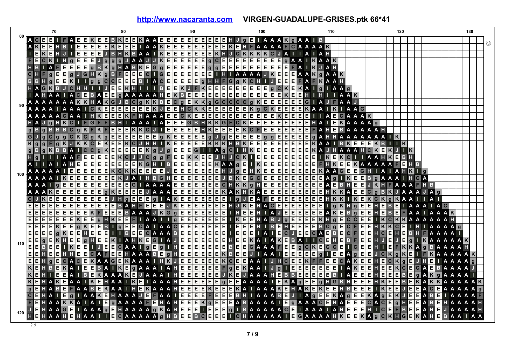|     | 70                                                  | 80                                                                                    | 90                                                                                                                                               | 100                                                                                    | 110                                                                                                                           | 120                                                              | 130           |
|-----|-----------------------------------------------------|---------------------------------------------------------------------------------------|--------------------------------------------------------------------------------------------------------------------------------------------------|----------------------------------------------------------------------------------------|-------------------------------------------------------------------------------------------------------------------------------|------------------------------------------------------------------|---------------|
|     | <b>ACE</b>                                          |                                                                                       | BKEEKAAEEEEEEEEEEEHJGEIAAAKGAAIB                                                                                                                 |                                                                                        |                                                                                                                               |                                                                  |               |
|     | $K$ $E$ $E$ $H$<br>$B \mid \cdot$                   |                                                                                       | EEEEKEEEIAAKEEEEEEEKEHFAAAAFCAAAAK                                                                                                               |                                                                                        |                                                                                                                               |                                                                  | ◎             |
|     | E<br>$\Gamma$ E K E                                 |                                                                                       | EEEJBHKBAAIKEEEEEEKHJCKKKKCJAII                                                                                                                  |                                                                                        | AIAH                                                                                                                          |                                                                  |               |
|     | FE<br>$C$ $K$ $I$                                   | $H g E E E J g   g   g  $<br><b>JAAJ</b>                                              |                                                                                                                                                  | $G$ A A I                                                                              | <b>KAAK</b>                                                                                                                   |                                                                  |               |
|     | $H$ $B$<br>FE<br>E                                  | $AB K E G g E E E E$<br>$E$ $g$ $B$ $K$ $g$ $H$                                       | E E                                                                                                                                              | $ g g E E E E E E E E E $<br>E<br>F<br>E                                               | J A H<br>$\mathbf{K}$<br>A                                                                                                    |                                                                  |               |
|     |                                                     |                                                                                       | CHFGEEGJGHKGBFEEECIGEEEEEEIHIAAAAJKEEEAAKGAAK                                                                                                    |                                                                                        |                                                                                                                               |                                                                  |               |
|     |                                                     |                                                                                       | BBH g E E K I I g g C C E E E B I A C E E E E E G H H F G g K C H I                                                                              | IJE                                                                                    | EEFAFK<br>AAH                                                                                                                 |                                                                  |               |
|     | HAGKBJCHHI                                          |                                                                                       | JEEKHIIIBEEKJFKEEEEEEEEEGCKEKAIGIAAG                                                                                                             |                                                                                        |                                                                                                                               |                                                                  |               |
|     | AHAAIA <b>EBAE</b>                                  | <b>BAAAAH</b><br>E                                                                    | $E K B E E E E E E E E E E E E E E K E E H I $                                                                                                   |                                                                                        | AAK                                                                                                                           |                                                                  |               |
|     | A A A A A A K <mark>K H A K</mark> G                |                                                                                       | JBCGKKBECGEKKGGCCCCGKEEEEEEGIAJF                                                                                                                 |                                                                                        | AAJ                                                                                                                           |                                                                  |               |
| 90  |                                                     | A A A A I A A A I G <mark>K E E E E E E E K</mark> J                                  | $E E H C K K E E E E E E K g C K E E E K A A I$                                                                                                  |                                                                                        | <b>K</b> IAAG                                                                                                                 |                                                                  |               |
|     | <b>AAAAAGAAIHKE</b>                                 | E<br>E                                                                                |                                                                                                                                                  |                                                                                        | <b>AECAAAK</b>                                                                                                                |                                                                  |               |
|     | $g$ $H$ $K$ $C$ $I$ $F$ $G$ $F$ $F$                 | B<br>$\overline{A}$<br>AAA                                                            | E E E G B H K K G F C K E E E E E E E E E E E H A I                                                                                              |                                                                                        | <b>EKAAAA</b>                                                                                                                 |                                                                  |               |
|     | $g   B   g   B   B   B   C   g   K   F   K   F   E$ | $E$ $K$ $K$ $C$ $J$ $I$<br>E                                                          | $E$ E E E E E H K E E E E K C F E E E E E E E E E E E E E                                                                                        |                                                                                        | E.                                                                                                                            | <b>BAAAAAH</b>                                                   |               |
|     |                                                     |                                                                                       |                                                                                                                                                  |                                                                                        |                                                                                                                               |                                                                  |               |
|     | $K$ g<br>$\mathbf{g}$                               | $F g K J K K C E K E E K C J H H J K E E E$                                           |                                                                                                                                                  | $E E K K K H B K E E E E E E E E E E K A A I$                                          |                                                                                                                               | $B$ K $E$ E $E$ $E$ K $B$ $I$ $I$ K $\,$                         |               |
|     |                                                     | $B g K B B A I C C g K E E E E E K g$                                                 | $JgEEEG1$                                                                                                                                        |                                                                                        | IAGCIHKEEEEEEEKAJHAAAHCKEKJIK                                                                                                 |                                                                  |               |
|     | $H$ g $H$                                           |                                                                                       | IAAFEEEEEKCJJCGGFEEKKEEJHJCKIEEEEEEEEEE                                                                                                          |                                                                                        |                                                                                                                               | IKEKCII AAHKEBH                                                  |               |
|     |                                                     |                                                                                       | IA IA HEIEIEIEIEIEIEIEIK GHIBEIEIEIEIEIKAA GEIKEEIEIEIEIEIEIEIEIK AA AAFEHB                                                                      |                                                                                        |                                                                                                                               |                                                                  |               |
|     | II E<br>A A A                                       |                                                                                       | E E E E E E K C K K E E E E E J E E E E E E E E E E H J G E H K E E E E E E E E E E E E K A A G E E                                              |                                                                                        |                                                                                                                               | GH<br><b>IAIAHKIG</b>                                            |               |
| 100 | A A A A I                                           | $KEEEEEEEE$                                                                           | KJA I H B G H E E E E E E E J B K E G C E E E E E E E E E E                                                                                      |                                                                                        |                                                                                                                               | A <b>g</b> I K E E B g A A A<br>$H$ $A$                          |               |
|     | E<br>E<br>ll g                                      |                                                                                       | EEEEEEEE G I A A A A EEEEEE E G H K K g H E E                                                                                                    |                                                                                        | <b>E</b> B H E<br>$\boldsymbol{\mathsf{A}}$<br>$\mathsf{E}[\mathsf{E}]\mathsf{E}[\mathsf{E}]\mathsf{E}[\mathsf{E}]\mathsf{E}$ | $A \Box$<br>E<br>JKHFA<br>H <sub>B</sub>                         |               |
|     |                                                     |                                                                                       | KEEEEEEEE GKEEEEJAAAEEEEEEKAKHKAEEEEEEEEHKAEE                                                                                                    |                                                                                        |                                                                                                                               | c <br>$g$ B $K$ J A A A J A $g$                                  |               |
|     | ĸ<br>E<br>E.<br>E<br> E                             | $\mathsf{E}[\mathsf{E}]\mathsf{E}[\mathsf{E}]\mathsf{E}$<br>JHgEEE <sub>g</sub> IAKEE | $E$ $E$ $E$ $E$<br>$\vert \vert g \vert$<br>E                                                                                                    | $\overline{B}$ a $\overline{B}$ , and $\overline{B}$ are restricted by<br>$\mathsf{J}$ | H                                                                                                                             | KKIKEKCKGKAAIIAI                                                 |               |
|     | E[E]E<br>E E E E E E E E E                          |                                                                                       | EBAHFEEEJKEEEEEEHJKEHACEEEEEE                                                                                                                    |                                                                                        | т                                                                                                                             | $g$ K H $g$ E E H E B<br>E.<br>A   A C                           |               |
|     | E E E                                               |                                                                                       |                                                                                                                                                  | THEEHTAJ <b>eeeee</b>                                                                  |                                                                                                                               | A KE B G EE H E B E<br>F<br>A A<br>AAAK                          |               |
|     | E E E                                               |                                                                                       | E E E E K E E G H K E E F I A A I I G E E E E E E E E E E I K E E H A B J G E E E E K H G E C C E E                                              |                                                                                        |                                                                                                                               | IKCKKAAAAAH                                                      |               |
|     | E E E E K E E<br>$\mathbf{q}$                       | KE<br> E                                                                              | BIGEECAIAACEEEEEEE IEEEH IBEHEEEBCGECFEEHKKCE                                                                                                    |                                                                                        |                                                                                                                               |                                                                  | A A A G       |
|     | E<br>Е<br> q K E<br>E                               | H E.                                                                                  | <b>EE</b> I I B EEG A A A B EEEGEEE                                                                                                              |                                                                                        | IEEE IA IECJEECAEBECFEEHCEH                                                                                                   | E.<br>B.<br>HAAAAI                                               |               |
|     | E<br>$\mathbf{g}$<br>E.<br>KHE                      |                                                                                       | GHEEKIAHKEGIAJEEEEEEEEKAIAKEBATICEHEBFEE                                                                                                         |                                                                                        |                                                                                                                               | HJ<br><b>EJE</b><br><b>KAAAAAK</b><br>$\mathbf{q}$               |               |
| 110 | $rac{E}{E}$ $rac{E}{E}$<br>B<br>E<br>E              | <u> I KEE I JE</u><br>E                                                               |                                                                                                                                                  |                                                                                        |                                                                                                                               | CAAIGEGIHEEEEEEEEEEEGAAFEEGGKEGCEICEEHIEFKKAGBAAAH               |               |
|     | E E <br>н                                           |                                                                                       | E E H H E E C A F E E H A A A B E G H E E E E E E K B E E                                                                                        | JIAAIEEEEEg                                                                            | $\perp$ E E A g E E                                                                                                           | $J$ C $K$ $g$ $K$ E                                              |               |
|     | Е<br>E                                              |                                                                                       | GECACEKAAGEKAAAIHKJEEEEEKCEEAAIJHCEEKFFEECA                                                                                                      |                                                                                        |                                                                                                                               | $K$ $E$ $E$<br>HE<br>Е<br> C K g                                 |               |
|     | KE                                                  |                                                                                       | BEKAIEEBAIKEGAAAIAHEEEEEFGEKAAIJGIEEEEEEEIAKEE                                                                                                   |                                                                                        |                                                                                                                               | HEEKCECAEBAAAAJ                                                  |               |
|     | $K$ E<br>$\lceil \epsilon   \epsilon \rceil$        |                                                                                       | A I B E K A A K E J A A A I H E E E E E E J K E                                                                                                  |                                                                                        | JAAAHEBB <b>EEEEE</b> BIAE                                                                                                    | E<br>EHE<br>E<br> E E <br>g  <br>$\mathbf{B}$                    |               |
|     | $K$ E                                               |                                                                                       | H A <mark>K E</mark> A A I <mark>K E</mark> H A A I <mark>K E</mark> I A A A H E E E E E E E G G E A A A A I E K A G E E G H G B H E E E H K E E |                                                                                        |                                                                                                                               | E<br>$\mathbf{B}$<br>KA                                          | KKAAAAA       |
|     | E<br>HABE<br>F.                                     |                                                                                       | A A B E KA A I H E KA A A H E E E E K E E E KA I A A A K E H A K E K E E H B                                                                     |                                                                                        | E                                                                                                                             | E<br>E<br>E<br>KEE<br>E<br> C E                                  |               |
|     | C E                                                 |                                                                                       |                                                                                                                                                  |                                                                                        |                                                                                                                               | HAIEGIAAKEHAAAJEFAAIEEEEFEEEBHIAAABEJIAGEEKAGEKJEKJEEABEIAA      |               |
|     | E<br>H A A K K A I A I E                            |                                                                                       | <b>GAAAAFEHAHEEEKGEEEABAAAAIEGAAAACEHAEE</b>                                                                                                     |                                                                                        |                                                                                                                               | E<br>$\overline{c}$<br>$H$ $H$ $H$ $A$ $B$ $H$<br>A C E g        | HAAAAI        |
|     | JE                                                  |                                                                                       |                                                                                                                                                  |                                                                                        |                                                                                                                               | HAAGEIAAAGEHAAAAGKAHEEEIEEEGIBAAAAACEIAAAIAHEEEHICEFBEEAHEJAAAAH |               |
| 120 | H E<br>HAAHE<br>H                                   | A A<br>Е.                                                                             | GAAAAA GHBEEBCEEEI GHAAAAAIEGAAAHKEEKA GCKHGEKAHE                                                                                                |                                                                                        |                                                                                                                               |                                                                  | <b>BAAIAA</b> |
|     |                                                     |                                                                                       |                                                                                                                                                  |                                                                                        |                                                                                                                               |                                                                  |               |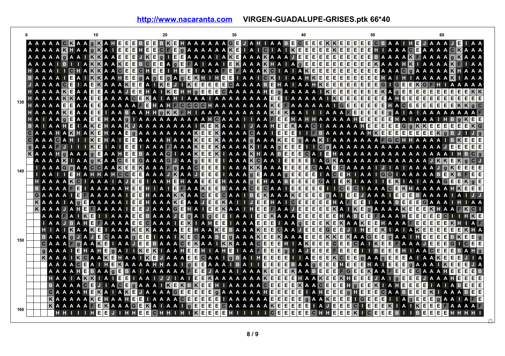**<http://www.nacaranta.com>VIRGEN-GUADALUPE-GRISES.ptk 66\*40**

|     | <b>AAAAACKAAG</b>                                                                                                       |                                                                                                                                              |                                                       |                                                                                                            |                        |                |                                                |         |   |                |   | IE.          |     |   |              |  |  |  |  |  |              |         |     |   |        | HAAAAAAGEJAHIAABECEEE |   |   |             |                      |                 | KIE | E            |   |         |                                                                                                |                |                | <b>EEECBAAIHE</b>                                                                                                                                      |          |                  |    | <b>JAAAJ</b> |              |       |       |       |                             |  |
|-----|-------------------------------------------------------------------------------------------------------------------------|----------------------------------------------------------------------------------------------------------------------------------------------|-------------------------------------------------------|------------------------------------------------------------------------------------------------------------|------------------------|----------------|------------------------------------------------|---------|---|----------------|---|--------------|-----|---|--------------|--|--|--|--|--|--------------|---------|-----|---|--------|-----------------------|---|---|-------------|----------------------|-----------------|-----|--------------|---|---------|------------------------------------------------------------------------------------------------|----------------|----------------|--------------------------------------------------------------------------------------------------------------------------------------------------------|----------|------------------|----|--------------|--------------|-------|-------|-------|-----------------------------|--|
|     | A A A A A <b>K</b> H A A                                                                                                |                                                                                                                                              |                                                       |                                                                                                            |                        |                | $\vert$ g                                      | K A     | E | $\overline{E}$ | E | l E          | IE. | C | Е            |  |  |  |  |  |              |         |     |   |        | GAAAAAKEIAIGIAIKEEEE  |   |   |             |                      | $EK$ $E$        |     | E E          |   |         |                                                                                                |                |                | <b>EE</b> H I A A A © EA A A A © KA A A                                                                                                                |          |                  |    |              |              |       |       |       |                             |  |
|     | AAAAA GAAIKKAAEEE                                                                                                       |                                                                                                                                              |                                                       |                                                                                                            |                        |                |                                                |         |   |                |   |              |     |   |              |  |  |  |  |  |              |         |     |   |        |                       |   |   |             |                      |                 |     |              |   |         |                                                                                                |                |                | JKEGIEEAAAAIAKEAAAKAAJEEEEEEEEEEEBAAAAKEAAAA <mark>TAAAA</mark>                                                                                        |          |                  |    |              |              |       |       |       |                             |  |
|     | <b>AAAAIBIIA</b>                                                                                                        |                                                                                                                                              |                                                       |                                                                                                            |                        |                | <b>KKAAKEE</b>                                 |         |   |                |   | <b>BCEEA</b> |     |   |              |  |  |  |  |  |              |         |     |   |        |                       |   |   |             |                      |                 |     |              |   |         |                                                                                                |                |                | GEEAIAAIEKAAAKHAIAGEEEEEEEEEEKAAAHKIAAAAKEIAA                                                                                                          |          |                  |    |              |              |       |       |       |                             |  |
|     | HAAAI                                                                                                                   |                                                                                                                                              |                                                       |                                                                                                            |                        |                |                                                |         |   |                |   |              |     |   |              |  |  |  |  |  |              |         |     |   |        |                       |   |   |             |                      |                 |     |              |   |         |                                                                                                |                |                | CHAKKAACEECHEEIHEEIAAAFEFAAAKCIAIAKEEEEEEEEEAAACOAAAAKHAAA                                                                                             |          |                  |    |              |              |       |       |       |                             |  |
|     | <b>BAAAAI</b>                                                                                                           |                                                                                                                                              |                                                       |                                                                                                            |                        |                | EAIKKAAHE                                      |         |   |                | E |              |     |   |              |  |  |  |  |  |              |         |     |   |        |                       |   |   |             |                      |                 |     |              |   |         | GAGEGAGEKH I HEE I A A I CK I I A A H K EEEEEEEEEE E                                           |                |                |                                                                                                                                                        | HIA      |                  |    |              |              |       |       |       | <b>AAAKIAAA</b>             |  |
|     | <b>JAAAAFE</b>                                                                                                          |                                                                                                                                              |                                                       |                                                                                                            |                        | $\overline{A}$ | EKAAAKEEA IKE                                  |         |   |                |   |              |     |   |              |  |  |  |  |  |              |         |     |   |        |                       |   |   |             |                      |                 |     |              |   |         | JIKEEEEECAAAABEHAIAAHKEEEEEEEE                                                                 |                |                | <b>inigie le</b>                                                                                                                                       |          | $K$ <b>G</b> $F$ |    |              |              |       |       |       |                             |  |
|     | HAAAAKEAA<br>HAAAA <mark>KK</mark> AA <b>cce</b> AAAACCKAIAHIAAAIAAAAAAA <mark>cc</mark> eIAAAAAI <mark>Kccecc</mark> e |                                                                                                                                              |                                                       |                                                                                                            |                        |                | EEAAAJEEHAIKEHH GEEEGAAAAAHE GAAAAAIKEEEEEEEKA |         |   |                |   |              |     |   |              |  |  |  |  |  |              |         |     |   |        |                       |   |   |             |                      |                 |     |              |   |         |                                                                                                |                | $\overline{g}$ | <b>AHEE</b>                                                                                                                                            | E E.     | E                | E. |              |              | EEEE  |       |       |                             |  |
| 130 |                                                                                                                         |                                                                                                                                              |                                                       |                                                                                                            | <b>EE</b> A A EE A A A |                |                                                |         |   |                |   |              |     |   |              |  |  |  |  |  |              |         |     |   |        |                       |   |   |             |                      |                 |     |              |   |         | . A A F E H A H F C C C C H A A A A A A A A <mark>K E F A A A A A A I G E E E E E E E</mark> E |                |                | HACE                                                                                                                                                   |          | EE               |    |              |              | EEEEE |       |       | E E E E E E E E E E         |  |
|     | HAAAAKEAAEEIAABAAHHGKKFHIAAAAAAAAAAKEKAAIIIAAAFEEEEE                                                                    |                                                                                                                                              |                                                       |                                                                                                            |                        |                |                                                |         |   |                |   |              |     |   |              |  |  |  |  |  |              |         |     |   |        |                       |   |   |             |                      |                 |     |              |   |         |                                                                                                |                | q              | $A \mid A$                                                                                                                                             |          |                  |    |              |              |       |       |       |                             |  |
|     | HAIAAGEAAEEHAAGIAAAAAAAAAAHGAAAIIAAFEEHAHHAAAAAHEEEE                                                                    |                                                                                                                                              |                                                       |                                                                                                            |                        |                |                                                |         |   |                |   |              |     |   |              |  |  |  |  |  |              |         |     |   |        |                       |   |   |             |                      |                 |     |              |   |         |                                                                                                | E              | н              | IA.                                                                                                                                                    |          |                  |    |              |              |       |       |       | $H$ $B$ $q$ $K$ $E$ $E$     |  |
|     | <b>BAIAAHE</b>                                                                                                          |                                                                                                                                              |                                                       |                                                                                                            |                        |                |                                                |         |   |                |   |              |     |   |              |  |  |  |  |  |              |         |     |   |        |                       |   |   |             |                      |                 |     |              |   |         |                                                                                                |                |                | I A <mark>K E</mark> H A A <mark>K J A A A A A A A A I K E K</mark> A A A I J A A H E E K A A C I A A A A A H E E E E E G 9 K K E E E E E E E K G      |          |                  |    |              |              |       |       |       |                             |  |
|     | GAAAHAKHAKEHAAEGAAAAAAAKEEKAAAAGAAIEEE III BAAAAAAHKEEEEEEEEKGB                                                         |                                                                                                                                              |                                                       |                                                                                                            |                        |                |                                                |         |   |                |   |              |     |   |              |  |  |  |  |  |              |         |     |   |        |                       |   |   |             |                      |                 |     |              |   |         |                                                                                                |                |                |                                                                                                                                                        |          |                  |    |              |              |       |       |       |                             |  |
|     | G A A A G A H I I K E H A I E E A A A A H A A A K E E K A A A A G A A A K E E G A A K I A A A A A A A A A F G C H H A A |                                                                                                                                              |                                                       |                                                                                                            |                        |                |                                                |         |   |                |   |              |     |   |              |  |  |  |  |  |              |         |     |   |        |                       |   |   |             |                      |                 |     |              |   |         |                                                                                                |                |                |                                                                                                                                                        |          |                  |    |              |              |       | BKE   |       | I E I E                     |  |
|     | GAAAF JIIIKEIAIEEIAAAFAAAKEEMAAAAKIIAAGEEEIICGAAAAAAAAAAAA                                                              |                                                                                                                                              |                                                       |                                                                                                            |                        |                |                                                |         |   |                |   |              |     |   |              |  |  |  |  |  |              |         |     |   |        |                       |   |   |             |                      |                 |     |              |   |         |                                                                                                |                |                |                                                                                                                                                        |          |                  |    |              |              |       | IE.   |       | E E E E                     |  |
|     |                                                                                                                         | A A A H G A A A G E A A H E E B A A A G I A A K E E K I A A A K H A A B E E E                                                                |                                                       |                                                                                                            |                        |                |                                                |         |   |                |   |              |     |   |              |  |  |  |  |  |              |         |     |   |        |                       |   |   |             |                      |                 |     |              |   |         |                                                                                                |                |                | <b>GAIRHAAAAAAAAAAAAA</b>                                                                                                                              |          |                  |    |              |              |       |       |       | <b>AAAIHBCq</b>             |  |
|     |                                                                                                                         | <u>A A A A KI I A A GKA A G E E G A A A G J A A G E E E E I A A A K G A A I E E E E I A G KA A A A A A A A A A A A A A A I K K E K G G J</u> |                                                       |                                                                                                            |                        |                |                                                |         |   |                |   |              |     |   |              |  |  |  |  |  |              |         |     |   |        |                       |   |   |             |                      |                 |     |              |   |         |                                                                                                |                |                |                                                                                                                                                        |          |                  |    |              |              |       |       |       |                             |  |
| 140 |                                                                                                                         | I A A A G G A A <mark>C G A A K E E K</mark> A A A F G A A C E E E                                                                           |                                                       |                                                                                                            |                        |                |                                                |         |   |                |   |              |     |   |              |  |  |  |  |  |              |         |     |   |        | IAAAKKAAAEEE          |   |   |             |                      |                 |     |              |   |         |                                                                                                |                |                | E GAAECAAAAI JIA I AAAA JOKEEEE                                                                                                                        |          |                  |    |              |              |       |       |       |                             |  |
|     |                                                                                                                         | I A A I I GHAHHAH GC E GA A A J KA A J GC I A A A A A A A A A GC E GHA A C GHIA A I GC I A A A A A A B E K B F EIE                           |                                                       |                                                                                                            |                        |                |                                                |         |   |                |   |              |     |   |              |  |  |  |  |  |              |         |     |   |        |                       |   |   |             |                      |                 |     |              |   |         |                                                                                                |                |                |                                                                                                                                                        |          |                  |    |              |              |       |       |       |                             |  |
|     |                                                                                                                         | HAAAAKCIAAAIAJE                                                                                                                              |                                                       |                                                                                                            |                        |                |                                                |         |   |                |   | EIAAHEHAAEEE |     |   |              |  |  |  |  |  |              |         |     |   |        | HAAAGEHAABEE          |   |   |             | EEGAIE               |                 |     |              |   |         |                                                                                                |                |                | KIAAIIEKIAIAAAGEEKGE                                                                                                                                   |          |                  |    |              |              |       |       |       |                             |  |
|     |                                                                                                                         | BAAAAFEIAAAAAHEEHIAIEFAAKEE                                                                                                                  |                                                       |                                                                                                            |                        |                |                                                |         |   |                |   |              |     |   |              |  |  |  |  |  |              |         |     |   |        | <b>BAAACECAAIEE</b>   |   |   |             |                      |                 |     |              |   |         |                                                                                                |                |                | EEE I I CECI A A A CEKH A A A A A H KEEE                                                                                                               |          |                  |    |              |              |       |       |       |                             |  |
|     |                                                                                                                         |                                                                                                                                              | AAAAIE AAAAAIEEHAAAKKAACEE                            |                                                                                                            |                        |                |                                                |         |   |                |   |              |     |   |              |  |  |  |  |  |              |         |     |   |        | CAAIBEKAAAKE          |   |   | $E$ $E$ $E$ |                      |                 |     |              |   |         |                                                                                                |                |                | <b>GAIBBJAAAIBBBAAAAI</b>                                                                                                                              |          |                  |    |              |              |       |       |       |                             |  |
|     |                                                                                                                         |                                                                                                                                              | AAAIA <b>GE</b> AAAAI <b>EE</b> HAAA <b>KE</b> AAJEE  |                                                                                                            |                        |                |                                                |         |   |                |   |              |     |   |              |  |  |  |  |  |              |         |     |   |        | KAIIJEEHAICE          |   |   |             |                      |                 |     |              |   |         |                                                                                                |                |                |                                                                                                                                                        |          |                  |    |              |              |       |       |       |                             |  |
|     |                                                                                                                         | <b>KAAAJAHE</b>                                                                                                                              |                                                       |                                                                                                            |                        |                | FAAAAIEEJAAAGEHAIEE                            |         |   |                |   |              |     |   |              |  |  |  |  |  | KAAIH        | $E$ $E$ |     |   |        | <b>EAAJE</b>          |   |   | E E E       |                      |                 |     | EKA I KE     |   |         |                                                                                                |                |                | <b>GAAAAKEEEK</b>                                                                                                                                      |          |                  |    |              |              |       |       |       |                             |  |
|     |                                                                                                                         |                                                                                                                                              | A A A <b>E</b> A                                      |                                                                                                            |                        | I K E          |                                                |         |   |                |   |              |     |   |              |  |  |  |  |  |              |         |     |   |        |                       |   |   |             |                      |                 |     |              |   |         |                                                                                                |                |                | I I A A A E E B A A A J E g A I G E E I A A I E E K A A A E E E E E E E H A B E E F A A A H E E E E E E                                                |          |                  |    |              |              |       |       |       | $\mathbf{H}$ K $\mathbf{E}$ |  |
|     |                                                                                                                         |                                                                                                                                              | I A A J B A H E F A A A A E E G A A A I E K I A H E E |                                                                                                            |                        |                |                                                |         |   |                |   |              |     |   |              |  |  |  |  |  |              |         |     |   |        |                       |   |   |             |                      |                 |     | $\bullet$    |   |         |                                                                                                |                |                | I A A A BEEI I A A G EEEKEKA A KEEHA A A FEEEEKH<br>HEEKIAIAKEE                                                                                        |          |                  |    |              | E            | E.    | E     |       | EKH                         |  |
|     |                                                                                                                         |                                                                                                                                              | BAAAGJAJEGAAAGEEIAAIKEGAABEGAAAKEEKAA EEEKKE          |                                                                                                            |                        |                |                                                |         |   |                |   |              |     |   |              |  |  |  |  |  |              |         |     |   |        |                       |   |   |             |                      |                 |     | Κ            |   |         | <b>AACEE</b>                                                                                   |                | q              | <b>AAIHEEE</b>                                                                                                                                         |          |                  |    |              |              | E     |       |       | E E.                        |  |
| 150 |                                                                                                                         |                                                                                                                                              | CAAAFGAAKEIAAJEEBAAACEKAAIKKAAACEEEHIAKEE             |                                                                                                            |                        |                |                                                |         |   |                |   |              |     |   |              |  |  |  |  |  |              |         |     |   |        |                       |   |   |             |                      | E C E           |     | E            |   |         |                                                                                                | <b>CAIKEE</b>  |                | $AA$ $A$ $B$                                                                                                                                           |          |                  |    |              | E            | E G   |       |       | EIE                         |  |
|     |                                                                                                                         | q                                                                                                                                            |                                                       | A A A I E H A H E G A I I K E K I A A H E E H I A H E I A A F E E E G                                      |                        |                |                                                |         |   |                |   |              |     |   |              |  |  |  |  |  |              |         |     |   |        |                       |   |   |             | <b>Ⅰ A J E E E E</b> |                 |     | E E          |   |         |                                                                                                | BEE            |                | <b>EHTAACEEEBAH</b>                                                                                                                                    |          |                  |    |              |              |       |       |       |                             |  |
|     |                                                                                                                         | K                                                                                                                                            |                                                       | A A A I <mark>K C A A K E</mark> H A A I <mark>K E</mark> J A A A <mark>E E</mark> C A A I O B A I H E E E |                        |                |                                                |         |   |                |   |              |     |   |              |  |  |  |  |  |              |         |     | E |        | <b>IIAEE</b>          |   |   |             |                      | $E$ $K$ $C$ $E$ |     |              | E | q       |                                                                                                | <b>A A G E</b> |                | 188 A I A A K 88                                                                                                                                       |          |                  |    |              |              |       |       | IEI J |                             |  |
|     |                                                                                                                         |                                                                                                                                              |                                                       |                                                                                                            |                        |                |                                                |         |   |                |   |              |     |   |              |  |  |  |  |  |              |         |     |   |        |                       |   |   |             |                      |                 |     |              |   |         |                                                                                                |                |                | A A A A <b>C E</b> A I H <b>E K</b> A A A A H H A A I <b>F E E</b> A A A I B A I I <b>E E E E</b> B A A <b>F E E E H E E E</b> H A I <b>E E E</b> TA A |          |                  |    |              |              | KE    |       |       | EE JA                       |  |
|     |                                                                                                                         |                                                                                                                                              |                                                       | AAAAHEBAAGEBAIAAAAAFEEJAAAIAAAKEEEKAABE                                                                    |                        |                |                                                |         |   |                |   |              |     |   |              |  |  |  |  |  |              |         |     |   |        |                       |   |   |             |                      | E E             |     | F G E        |   | E       |                                                                                                | KAAFE          |                |                                                                                                                                                        | EECAAAHE |                  |    |              |              |       |       |       | E E E B                     |  |
|     |                                                                                                                         |                                                                                                                                              | HAAIAKK                                               |                                                                                                            |                        |                |                                                |         |   |                |   |              |     |   |              |  |  |  |  |  |              |         |     |   |        |                       |   |   |             |                      |                 |     |              |   |         |                                                                                                |                |                | IAIEEIAAIJJIAIEEKAAAAAAKEEEEHAAKEEKHEEEJAIGEEEJAAAHEEEE                                                                                                |          |                  |    |              |              |       |       |       |                             |  |
|     |                                                                                                                         |                                                                                                                                              |                                                       | <b>AAAACE</b>                                                                                              |                        |                |                                                |         |   |                |   |              |     |   |              |  |  |  |  |  |              |         |     |   |        |                       |   |   |             |                      |                 |     | Hg           |   | $F$ $K$ |                                                                                                |                |                | <b>I A H E E</b>                                                                                                                                       |          | E                | E  |              |              |       |       |       | <b>IA IA BEEE</b>           |  |
|     |                                                                                                                         |                                                                                                                                              | CAAAAHEKAIAKEJAAAAGEEEEEGJAAAAAAHEEEEEEIAHEEE         |                                                                                                            |                        |                |                                                |         |   |                |   |              |     |   |              |  |  |  |  |  |              |         |     |   |        |                       |   |   |             |                      |                 |     | $\mathbf{g}$ |   |         |                                                                                                |                |                | HEEECAABEEEKIAAABEE                                                                                                                                    |          |                  |    |              |              |       |       |       |                             |  |
|     |                                                                                                                         |                                                                                                                                              | KAAAAAKEHAAHEEIAAAACEEEEEIAAAAAAEEEEE                 |                                                                                                            |                        |                |                                                |         |   |                |   |              |     |   |              |  |  |  |  |  |              |         |     |   |        |                       |   |   |             | $g$ A A K E E        |                 |     |              |   |         | EIGEEE                                                                                         |                |                |                                                                                                                                                        |          |                  |    | E            | $\mathbf{g}$ |       |       |       |                             |  |
| 160 |                                                                                                                         |                                                                                                                                              | KAAAAAFEKAAACEKAIAAIREEEECAAAAAAKEEEEEIAJEEE          |                                                                                                            |                        |                |                                                |         |   |                |   |              |     |   |              |  |  |  |  |  |              |         |     |   |        |                       |   |   |             |                      |                 |     |              | c |         | <b>TEEE</b>                                                                                    |                |                | KIAIKE                                                                                                                                                 |          |                  |    |              |              |       | EEFAA |       |                             |  |
|     |                                                                                                                         |                                                                                                                                              |                                                       |                                                                                                            |                        |                | н                                              | I E I E |   |                |   | E E.         |     |   | IC H H I H I |  |  |  |  |  | KEEEEHII III |         | C E |   | ie iei | E                     | E | C |             |                      |                 | Е   |              |   |         |                                                                                                |                | E<br>в         |                                                                                                                                                        |          |                  | Е. | Е.           | Е            | EI    |       |       | <b>HHHHI</b>                |  |
|     |                                                                                                                         |                                                                                                                                              |                                                       |                                                                                                            |                        |                |                                                |         |   |                |   |              |     |   |              |  |  |  |  |  |              |         |     |   |        |                       |   |   |             |                      |                 |     |              |   |         |                                                                                                |                |                |                                                                                                                                                        |          |                  |    |              |              |       |       |       |                             |  |